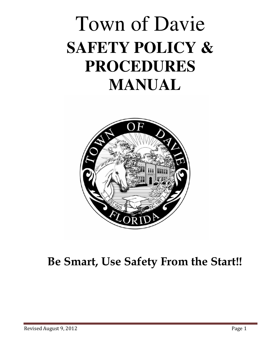# Town of Davie **SAFETY POLICY & PROCEDURES MANUAL**



## Be Smart, Use Safety From the Start!!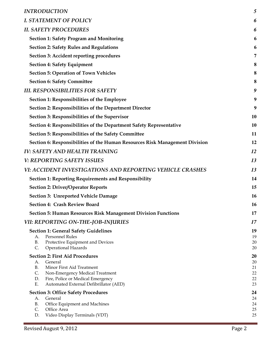| <b>INTRODUCTION</b>                                                         | 5        |
|-----------------------------------------------------------------------------|----------|
| <b>I. STATEMENT OF POLICY</b>                                               | 6        |
| <b>II. SAFETY PROCEDURES</b>                                                | 6        |
| <b>Section 1: Safety Program and Monitoring</b>                             | 6        |
| <b>Section 2: Safety Rules and Regulations</b>                              | 6        |
| Section 3: Accident reporting procedures                                    | 7        |
| <b>Section 4: Safety Equipment</b>                                          | 8        |
| <b>Section 5: Operation of Town Vehicles</b>                                | 8        |
| <b>Section 6: Safety Committee</b>                                          | 8        |
| <b>III. RESPONSIBILITIES FOR SAFETY</b>                                     | 9        |
| Section 1: Responsibilities of the Employee                                 | 9        |
| Section 2: Responsibilities of the Department Director                      | 9        |
| Section 3: Responsibilities of the Supervisor                               | 10       |
| Section 4: Responsibilities of the Department Safety Representative         | 10       |
| Section 5: Responsibilities of the Safety Committee                         | 11       |
| Section 6: Responsibilities of the Human Resources Risk Management Division | 12       |
| <b>IV: SAFETY AND HEALTH TRAINING</b>                                       | 12       |
| <b>V: REPORTING SAFETY ISSUES</b>                                           | 13       |
| VI: ACCIDENT INVESTIGATIONS AND REPORTING VEHICLE CRASHES                   | 13       |
| <b>Section 1: Reporting Requirements and Responsibility</b>                 | 14       |
| <b>Section 2: Driver/Operator Reports</b>                                   | 15       |
| <b>Section 3: Unreported Vehicle Damage</b>                                 | 16       |
| <b>Section 4: Crash Review Board</b>                                        | 16       |
| <b>Section 5: Human Resources Risk Management Division Functions</b>        | 17       |
| VII: REPORTING ON-THE-JOB-INJURIES                                          | 17       |
| <b>Section 1: General Safety Guidelines</b>                                 | 19       |
| Personnel Rules<br>А.<br><b>B.</b><br>Protective Equipment and Devices      | 19<br>20 |
| C.<br><b>Operational Hazards</b>                                            | 20       |
| <b>Section 2: First Aid Procedures</b>                                      | 20       |
| General<br>А.<br><b>B.</b><br>Minor First Aid Treatment                     | 20<br>21 |
| C.<br>Non-Emergency Medical Treatment                                       | 22       |
| Fire, Police or Medical Emergency<br>D.                                     | 22       |
| Ε.<br>Automated External Defibrillator (AED)                                | 23       |
| <b>Section 3: Office Safety Procedures</b>                                  | 24       |
| General<br>А.                                                               | 24       |
| <b>B.</b><br>Office Equipment and Machines                                  | 24       |
| C.<br>Office Area<br>Video Display Terminals (VDT)<br>D.                    | 25<br>25 |
|                                                                             |          |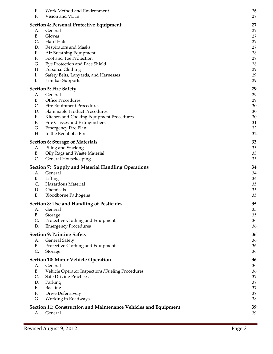| Ε.<br>F.   | Work Method and Environment<br>Vision and VDTs                             | 26<br>27 |
|------------|----------------------------------------------------------------------------|----------|
|            | <b>Section 4: Personal Protective Equipment</b>                            | 27       |
| А.         | General                                                                    | 27       |
| B.         | Gloves                                                                     | 27       |
| C.         | Hard Hats                                                                  | 27       |
| D.         | Respirators and Masks                                                      | 27       |
| Ε.         | Air Breathing Equipment                                                    | 28       |
| F.         | Foot and Toe Protection                                                    | 28       |
| G.<br>Η.   | Eye Protection and Face Shield<br>Personal Clothing                        | 28<br>29 |
| Ι.         | Safety Belts, Lanyards, and Harnesses                                      | 29       |
| J.         | Lumbar Supports                                                            | 29       |
|            |                                                                            | 29       |
| А.         | <b>Section 5: Fire Safety</b><br>General                                   | 29       |
| B.         | Office Procedures                                                          | 29       |
| C.         | Fire Equipment Procedures                                                  | 30       |
| D.         | Flammable Product Procedures                                               | 30       |
| Ε.         | Kitchen and Cooking Equipment Procedures                                   | 30       |
| F.         | Fire Classes and Extinguishers                                             | 31       |
| G.         | <b>Emergency Fire Plan:</b>                                                | 32       |
| H.         | In the Event of a Fire:                                                    | 32       |
|            | <b>Section 6: Storage of Materials</b>                                     | 33       |
| А.         | Piling and Stacking                                                        | 33       |
| В.         | Oily Rags and Waste Material                                               | 33       |
| C.         | General Housekeeping                                                       | 33       |
|            | <b>Section 7: Supply and Material Handling Operations</b>                  | 34       |
| А.         | General                                                                    | 34       |
| B.         | Lifting                                                                    | 34       |
| C.         | Hazardous Material                                                         | 35       |
| D.         | Chemicals                                                                  | 35       |
| Ε.         | <b>Bloodborne Pathogens</b>                                                | 35       |
|            | <b>Section 8: Use and Handling of Pesticides</b>                           | 35       |
| А.         | General                                                                    | 35       |
| <b>B.</b>  | Storage                                                                    | 35       |
| C.         | Protective Clothing and Equipment                                          | 36       |
| D.         | <b>Emergency Procedures</b>                                                | 36       |
|            | <b>Section 9: Painting Safety</b>                                          | 36       |
| А.         | General Safety                                                             | 36       |
| <b>B.</b>  | Protective Clothing and Equipment                                          | 36       |
| C.         | Storage                                                                    | 36       |
|            | <b>Section 10: Motor Vehicle Operation</b>                                 | 36       |
| А.         | General                                                                    | 36       |
| <b>B.</b>  | Vehicle Operator Inspections/Fueling Procedures                            | 36       |
| C.         | <b>Safe Driving Practices</b>                                              | 37       |
| D.<br>Ε.   | Parking<br>Backing                                                         | 37<br>37 |
| ${\bf F}.$ | Drive Defensively                                                          | 38       |
| G.         | Working in Roadways                                                        | 38       |
|            |                                                                            |          |
| А.         | Section 11: Construction and Maintenance Vehicles and Equipment<br>General | 39<br>39 |
|            |                                                                            |          |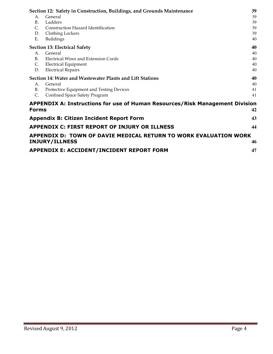|                | Section 12: Safety in Construction, Buildings, and Grounds Maintenance       | 39 |
|----------------|------------------------------------------------------------------------------|----|
| A.             | General                                                                      | 39 |
| <b>B.</b>      | Ladders                                                                      | 39 |
| $\mathsf{C}$ . | Construction Hazard Identification                                           | 39 |
| D.             | Clothing Lockers                                                             | 39 |
| Ε.             | Buildings                                                                    | 40 |
|                | <b>Section 13: Electrical Safety</b>                                         | 40 |
| A.             | General                                                                      | 40 |
| <b>B.</b>      | Electrical Wires and Extension Cords                                         | 40 |
| C.             | <b>Electrical Equipment</b>                                                  | 40 |
| D.             | <b>Electrical Repairs</b>                                                    | 40 |
|                | Section 14: Water and Wastewater Plants and Lift Stations                    | 40 |
| $A_{-}$        | General                                                                      | 40 |
| В.             | Protective Equipment and Testing Devices                                     | 41 |
| C.             | Confined Space Safety Program                                                | 41 |
|                | APPENDIX A: Instructions for use of Human Resources/Risk Management Division |    |
| <b>Forms</b>   |                                                                              | 42 |
|                | <b>Appendix B: Citizen Incident Report Form</b>                              | 43 |
|                | APPENDIX C: FIRST REPORT OF INJURY OR ILLNESS                                | 44 |
|                | APPENDIX D: TOWN OF DAVIE MEDICAL RETURN TO WORK EVALUATION WORK             |    |
|                | <b>INJURY/ILLNESS</b>                                                        | 46 |
|                | APPENDIX E: ACCIDENT/INCIDENT REPORT FORM                                    | 47 |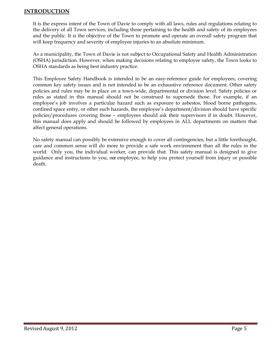#### INTRODUCTION

It is the express intent of the Town of Davie to comply with all laws, rules and regulations relating to the delivery of all Town services, including those pertaining to the health and safety of its employees and the public. It is the objective of the Town to promote and operate an overall safety program that will keep frequency and severity of employee injuries to an absolute minimum.

As a municipality, the Town of Davie is not subject to Occupational Safety and Health Administration (OSHA) jurisdiction. However, when making decisions relating to employee safety, the Town looks to OSHA standards as being best industry practice.

This Employee Safety Handbook is intended to be an easy-reference guide for employees, covering common key safety issues and is not intended to be an exhaustive reference document. Other safety policies and rules may be in place on a town-wide, departmental or division level. Safety policies or rules as stated in this manual should not be construed to supersede those. For example, if an employee's job involves a particular hazard such as exposure to asbestos, blood borne pathogens, confined space entry, or other such hazards, the employee's department/division should have specific policies/procedures covering those – employees should ask their supervisors if in doubt. However, this manual does apply and should be followed by employees in ALL departments on matters that affect general operations.

No safety manual can possibly be extensive enough to cover all contingencies, but a little forethought, care and common sense will do more to provide a safe work environment than all the rules in the world. Only you, the individual worker, can provide that. This safety manual is designed to give guidance and instructions to you, our employee, to help you protect yourself from injury or possible death.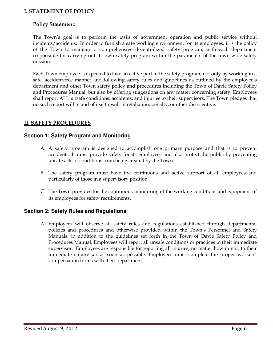#### I. STATEMENT OF POLICY

#### Policy Statement:

The Town's goal is to perform the tasks of government operation and public service without incidents/accidents. In order to furnish a safe working environment for its employees, it is the policy of the Town to maintain a comprehensive decentralized safety program, with each department responsible for carrying out its own safety program within the parameters of the town-wide safety mission.

Each Town employee is expected to take an active part in the safety program, not only by working in a safe, accident-free manner and following safety rules and guidelines as outlined by the employee's department and other Town safety policy and procedures including the Town of Davie Safety Policy and Procedures Manual, but also by offering suggestions on any matter concerning safety. Employees shall report ALL unsafe conditions, accidents, and injuries to their supervisors. The Town pledges that no such report will in and of itself result in retaliation, penalty, or other disincentive.

#### II. SAFETY PROCEDURES

#### **Section 1: Safety Program and Monitoring**

- A. A safety program is designed to accomplish one primary purpose and that is to prevent accidents. It must provide safety for its employees and also protect the public by preventing unsafe acts or conditions from being created by the Town.
- B. The safety program must have the continuous and active support of all employees and particularly of those in a supervisory position.
- C. The Town provides for the continuous monitoring of the working conditions and equipment of its employees for safety requirements.

#### **Section 2: Safety Rules and Regulations**

A. Employees will observe all safety rules and regulations established through departmental policies and procedures and otherwise provided within the Town's Personnel and Safety Manuals, in addition to the guidelines set forth in the Town of Davie Safety Policy and Procedures Manual. Employees will report all unsafe conditions or practices to their immediate supervisor. Employees are responsible for reporting all injuries, no matter how minor, to their immediate supervisor as soon as possible. Employees must complete the proper workers' compensation forms with their department.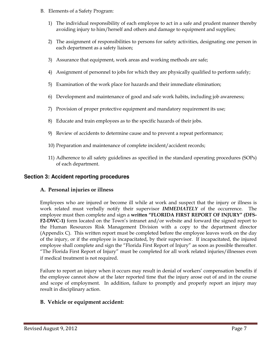- B. Elements of a Safety Program:
	- 1) The individual responsibility of each employee to act in a safe and prudent manner thereby avoiding injury to him/herself and others and damage to equipment and supplies;
	- 2) The assignment of responsibilities to persons for safety activities, designating one person in each department as a safety liaison;
	- 3) Assurance that equipment, work areas and working methods are safe;
	- 4) Assignment of personnel to jobs for which they are physically qualified to perform safely;
	- 5) Examination of the work place for hazards and their immediate elimination;
	- 6) Development and maintenance of good and safe work habits, including job awareness;
	- 7) Provision of proper protective equipment and mandatory requirement its use;
	- 8) Educate and train employees as to the specific hazards of their jobs.
	- 9) Review of accidents to determine cause and to prevent a repeat performance;
	- 10) Preparation and maintenance of complete incident/accident records;
	- 11) Adherence to all safety guidelines as specified in the standard operating procedures (SOPs) of each department.

#### **Section 3: Accident reporting procedures**

#### A. Personal injuries or illness

Employees who are injured or become ill while at work and suspect that the injury or illness is work related must verbally notify their supervisor IMMEDIATELY of the occurrence. The employee must then complete and sign a written "FLORIDA FIRST REPORT OF INJURY" (DFS-F2-DWC-1) form located on the Town's intranet and/or website and forward the signed report to the Human Resources Risk Management Division with a copy to the department director (Appendix C). This written report must be completed before the employee leaves work on the day of the injury, or if the employee is incapacitated, by their supervisor. If incapacitated, the injured employee shall complete and sign the "Florida First Report of Injury" as soon as possible thereafter. "The Florida First Report of Injury" must be completed for all work related injuries/illnesses even if medical treatment is not required.

Failure to report an injury when it occurs may result in denial of workers' compensation benefits if the employee cannot show at the later reported time that the injury arose out of and in the course and scope of employment. In addition, failure to promptly and properly report an injury may result in disciplinary action.

#### B. Vehicle or equipment accident: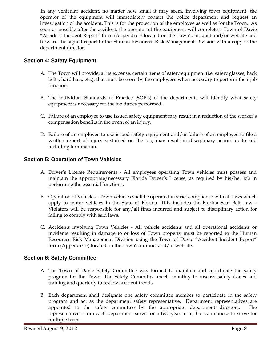In any vehicular accident, no matter how small it may seem, involving town equipment, the operator of the equipment will immediately contact the police department and request an investigation of the accident. This is for the protection of the employee as well as for the Town. As soon as possible after the accident, the operator of the equipment will complete a Town of Davie "Accident Incident Report" form (Appendix E located on the Town's intranet and/or website and forward the signed report to the Human Resources Risk Management Division with a copy to the department director.

#### **Section 4: Safety Equipment**

- A. The Town will provide, at its expense, certain items of safety equipment (i.e. safety glasses, back belts, hard hats, etc.), that must be worn by the employees when necessary to perform their job function.
- B. The individual Standards of Practice (SOP's) of the departments will identify what safety equipment is necessary for the job duties performed.
- C. Failure of an employee to use issued safety equipment may result in a reduction of the worker's compensation benefits in the event of an injury.
- D. Failure of an employee to use issued safety equipment and/or failure of an employee to file a written report of injury sustained on the job, may result in disciplinary action up to and including termination.

#### **Section 5: Operation of Town Vehicles**

- A. Driver's License Requirements All employees operating Town vehicles must possess and maintain the appropriate/necessary Florida Driver's License, as required by his/her job in performing the essential functions.
- B. Operation of Vehicles Town vehicles shall be operated in strict compliance with all laws which apply to motor vehicles in the State of Florida. This includes the Florida Seat Belt Law - Violators will be responsible for any/all fines incurred and subject to disciplinary action for failing to comply with said laws.
- C. Accidents involving Town Vehicles All vehicle accidents and all operational accidents or incidents resulting in damage to or loss of Town property must be reported to the Human Resources Risk Management Division using the Town of Davie "Accident Incident Report" form (Appendix E) located on the Town's intranet and/or website.

#### **Section 6: Safety Committee**

- A. The Town of Davie Safety Committee was formed to maintain and coordinate the safety program for the Town. The Safety Committee meets monthly to discuss safety issues and training and quarterly to review accident trends.
- B. Each department shall designate one safety committee member to participate in the safety program and act as the department safety representative. Department representatives are appointed to the safety committee by the appropriate department directors. The representatives from each department serve for a two-year term, but can choose to serve for multiple terms.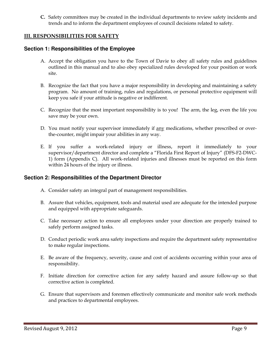C. Safety committees may be created in the individual departments to review safety incidents and trends and to inform the department employees of council decisions related to safety.

#### III. RESPONSIBILITIES FOR SAFETY

#### **Section 1: Responsibilities of the Employee**

- A. Accept the obligation you have to the Town of Davie to obey all safety rules and guidelines outlined in this manual and to also obey specialized rules developed for your position or work site.
- B. Recognize the fact that you have a major responsibility in developing and maintaining a safety program. No amount of training, rules and regulations, or personal protective equipment will keep you safe if your attitude is negative or indifferent.
- C. Recognize that the most important responsibility is to you! The arm, the leg, even the life you save may be your own.
- D. You must notify your supervisor immediately if any medications, whether prescribed or overthe-counter, might impair your abilities in any way.
- E. If you suffer a work-related injury or illness, report it immediately to your supervisor/department director and complete a "Florida First Report of Injury" (DFS-F2-DWC-1) form (Appendix C). All work-related injuries and illnesses must be reported on this form within 24 hours of the injury or illness.

#### **Section 2: Responsibilities of the Department Director**

- A. Consider safety an integral part of management responsibilities.
- B. Assure that vehicles, equipment, tools and material used are adequate for the intended purpose and equipped with appropriate safeguards.
- C. Take necessary action to ensure all employees under your direction are properly trained to safely perform assigned tasks.
- D. Conduct periodic work area safety inspections and require the department safety representative to make regular inspections.
- E. Be aware of the frequency, severity, cause and cost of accidents occurring within your area of responsibility.
- F. Initiate direction for corrective action for any safety hazard and assure follow-up so that corrective action is completed.
- G. Ensure that supervisors and foremen effectively communicate and monitor safe work methods and practices to departmental employees.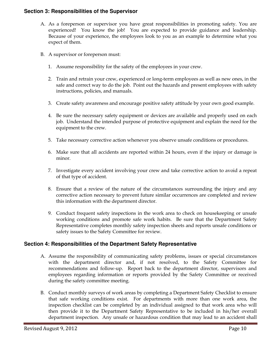#### **Section 3: Responsibilities of the Supervisor**

- A. As a foreperson or supervisor you have great responsibilities in promoting safety. You are experienced! You know the job! You are expected to provide guidance and leadership. Because of your experience, the employees look to you as an example to determine what you expect of them.
- B. A supervisor or foreperson must:
	- 1. Assume responsibility for the safety of the employees in your crew.
	- 2. Train and retrain your crew, experienced or long-term employees as well as new ones, in the safe and correct way to do the job. Point out the hazards and present employees with safety instructions, policies, and manuals.
	- 3. Create safety awareness and encourage positive safety attitude by your own good example.
	- 4. Be sure the necessary safety equipment or devices are available and properly used on each job. Understand the intended purpose of protective equipment and explain the need for the equipment to the crew.
	- 5. Take necessary corrective action whenever you observe unsafe conditions or procedures.
	- 6. Make sure that all accidents are reported within 24 hours, even if the injury or damage is minor.
	- 7. Investigate every accident involving your crew and take corrective action to avoid a repeat of that type of accident.
	- 8. Ensure that a review of the nature of the circumstances surrounding the injury and any corrective action necessary to prevent future similar occurrences are completed and review this information with the department director.
	- 9. Conduct frequent safety inspections in the work area to check on housekeeping or unsafe working conditions and promote safe work habits. Be sure that the Department Safety Representative completes monthly safety inspection sheets and reports unsafe conditions or safety issues to the Safety Committee for review.

#### **Section 4: Responsibilities of the Department Safety Representative**

- A. Assume the responsibility of communicating safety problems, issues or special circumstances with the department director and, if not resolved, to the Safety Committee for recommendations and follow-up. Report back to the department director, supervisors and employees regarding information or reports provided by the Safety Committee or received during the safety committee meeting.
- B. Conduct monthly surveys of work areas by completing a Department Safety Checklist to ensure that safe working conditions exist. For departments with more than one work area, the inspection checklist can be completed by an individual assigned to that work area who will then provide it to the Department Safety Representative to be included in his/her overall department inspection. Any unsafe or hazardous condition that may lead to an accident shall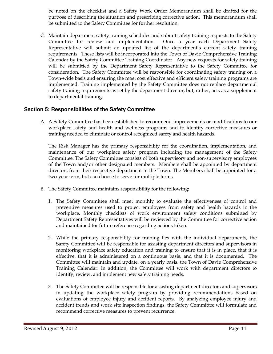be noted on the checklist and a Safety Work Order Memorandum shall be drafted for the purpose of describing the situation and prescribing corrective action. This memorandum shall be submitted to the Safety Committee for further resolution.

C. Maintain department safety training schedules and submit safety training requests to the Safety Committee for review and implementation. Once a year each Department Safety Representative will submit an updated list of the department's current safety training requirements. These lists will be incorporated into the Town of Davie Comprehensive Training Calendar by the Safety Committee Training Coordinator. Any new requests for safety training will be submitted by the Department Safety Representative to the Safety Committee for consideration. The Safety Committee will be responsible for coordinating safety training on a Town-wide basis and ensuring the most cost effective and efficient safety training programs are implemented. Training implemented by the Safety Committee does not replace departmental safety training requirements as set by the department director, but, rather, acts as a supplement to departmental training.

#### **Section 5: Responsibilities of the Safety Committee**

A. A Safety Committee has been established to recommend improvements or modifications to our workplace safety and health and wellness programs and to identify corrective measures or training needed to eliminate or control recognized safety and health hazards.

The Risk Manager has the primary responsibility for the coordination, implementation, and maintenance of our workplace safety program including the management of the Safety Committee. The Safety Committee consists of both supervisory and non-supervisory employees of the Town and/or other designated members. Members shall be appointed by department directors from their respective department in the Town. The Members shall be appointed for a two-year term, but can choose to serve for multiple terms.

- B. The Safety Committee maintains responsibility for the following:
	- 1. The Safety Committee shall meet monthly to evaluate the effectiveness of control and preventive measures used to protect employees from safety and health hazards in the workplace. Monthly checklists of work environment safety conditions submitted by Department Safety Representatives will be reviewed by the Committee for corrective action and maintained for future reference regarding actions taken.
	- 2. While the primary responsibility for training lies with the individual departments, the Safety Committee will be responsible for assisting department directors and supervisors in monitoring workplace safety education and training to ensure that it is in place, that it is effective, that it is administered on a continuous basis, and that it is documented. The Committee will maintain and update, on a yearly basis, the Town of Davie Comprehensive Training Calendar. In addition, the Committee will work with department directors to identify, review, and implement new safety training needs.
	- 3. The Safety Committee will be responsible for assisting department directors and supervisors in updating the workplace safety program by providing recommendations based on evaluations of employee injury and accident reports. By analyzing employee injury and accident trends and work site inspection findings, the Safety Committee will formulate and recommend corrective measures to prevent recurrence.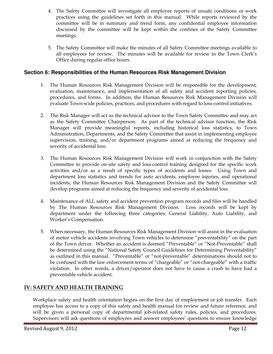- 4. The Safety Committee will investigate all employee reports of unsafe conditions or work practices using the guidelines set forth in this manual. While reports reviewed by the committee will be in summary and trend form, any confidential employee information discussed by the committee will be kept within the confines of the Safety Committee meetings.
- 5. The Safety Committee will make the minutes of all Safety Committee meetings available to all employees for review. The minutes will be available for review in the Town Clerk's Office during regular office hours.

#### **Section 6: Responsibilities of the Human Resources Risk Management Division**

- 1. The Human Resources Risk Management Division will be responsible for the development, evaluation, maintenance, and implementation of all safety and accident reporting policies, procedures, and forms. In addition, the Human Resources Risk Management Division will evaluate Town-wide policies, practices, and procedures with regard to loss control initiatives.
- 2. The Risk Manager will act as the technical advisor to the Town Safety Committee and may act as the Safety Committee Chairperson. As part of the technical advisor function, the Risk Manager will provide meaningful reports, including historical loss statistics, to Town Administration, Departments, and the Safety Committee that assist in implementing employee supervision, training, and/or department programs aimed at reducing the frequency and severity of accidental loss.
- 3. The Human Resources Risk Management Division will work in conjunction with the Safety Committee to provide on-site safety and loss-control training designed for the specific work activities and/or as a result of specific types of accidents and losses. Using Town and department loss statistics and trends for auto accidents, employee injuries, and operational incidents, the Human Resources Risk Management Division and the Safety Committee will develop programs aimed at reducing the frequency and severity of accidental loss.
- 4. Maintenance of ALL safety and accident prevention program records and files will be handled by The Human Resources Risk Management Division. Loss records will be kept by department under the following three categories; General Liability, Auto Liability, and Worker's Compensation.
- 5. When necessary, the Human Resources Risk Management Division will assist in the evaluation of motor vehicle accidents involving Town vehicles to determine "preventability" on the part of the Town driver. Whether an accident is deemed "Preventable" or "Not-Preventable" shall be determined using the "National Safety Council Guidelines for Determining Preventability" as outlined in this manual. "Preventable" or "not-preventable" determinations should not to be confused with the law enforcement terms of "chargeable" or "not-chargeable" with a traffic violation. In other words, a driver/operator does not have to cause a crash to have had a preventable vehicle accident.

#### IV: SAFETY AND HEALTH TRAINING

Workplace safety and health orientation begins on the first day of employment or job transfer. Each employee has access to a copy of this safety and health manual for review and future reference, and will be given a personal copy of departmental job-related safety rules, policies, and procedures. Supervisors will ask questions of employees and answer employees' questions to ensure knowledge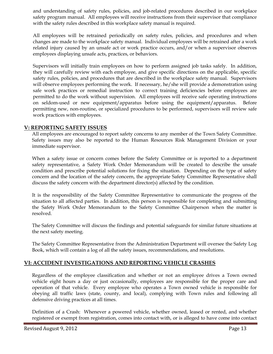and understanding of safety rules, policies, and job-related procedures described in our workplace safety program manual. All employees will receive instructions from their supervisor that compliance with the safety rules described in this workplace safety manual is required.

All employees will be retrained periodically on safety rules, policies, and procedures and when changes are made to the workplace safety manual. Individual employees will be retrained after a work related injury caused by an unsafe act or work practice occurs, and/or when a supervisor observes employees displaying unsafe acts, practices, or behaviors.

Supervisors will initially train employees on how to perform assigned job tasks safely. In addition, they will carefully review with each employee, and give specific directions on the applicable, specific safety rules, policies, and procedures that are described in the workplace safety manual. Supervisors will observe employees performing the work. If necessary, he/she will provide a demonstration using safe work practices or remedial instruction to correct training deficiencies before employees are permitted to do the work without supervision. All employees will receive safe operating instructions on seldom-used or new equipment/apparatus before using the equipment/apparatus. Before permitting new, non-routine, or specialized procedures to be performed, supervisors will review safe work practices with employees.

#### V: REPORTING SAFETY ISSUES

All employees are encouraged to report safety concerns to any member of the Town Safety Committee. Safety issues may also be reported to the Human Resources Risk Management Division or your immediate supervisor.

When a safety issue or concern comes before the Safety Committee or is reported to a department safety representative, a Safety Work Order Memorandum will be created to describe the unsafe condition and prescribe potential solutions for fixing the situation. Depending on the type of safety concern and the location of the safety concern, the appropriate Safety Committee Representative shall discuss the safety concern with the department director(s) affected by the condition.

It is the responsibility of the Safety Committee Representative to communicate the progress of the situation to all affected parties. In addition, this person is responsible for completing and submitting the Safety Work Order Memorandum to the Safety Committee Chairperson when the matter is resolved.

The Safety Committee will discuss the findings and potential safeguards for similar future situations at the next safety meeting.

The Safety Committee Representative from the Administration Department will oversee the Safety Log Book, which will contain a log of all the safety issues, recommendations, and resolutions.

#### VI: ACCIDENT INVESTIGATIONS AND REPORTING VEHICLE CRASHES

Regardless of the employee classification and whether or not an employee drives a Town owned vehicle eight hours a day or just occasionally, employees are responsible for the proper care and operation of that vehicle. Every employee who operates a Town owned vehicle is responsible for obeying all traffic laws (state, county, and local), complying with Town rules and following all defensive driving practices at all times.

Definition of a Crash: Whenever a powered vehicle, whether owned, leased or rented, and whether registered or exempt from registration, comes into contact with, or is alleged to have come into contact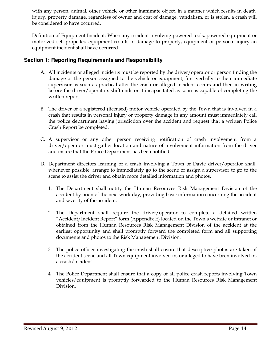with any person, animal, other vehicle or other inanimate object, in a manner which results in death, injury, property damage, regardless of owner and cost of damage, vandalism, or is stolen, a crash will be considered to have occurred.

Definition of Equipment Incident: When any incident involving powered tools, powered equipment or motorized self-propelled equipment results in damage to property, equipment or personal injury an equipment incident shall have occurred.

#### **Section 1: Reporting Requirements and Responsibility**

- A. All incidents or alleged incidents must be reported by the driver/operator or person finding the damage or the person assigned to the vehicle or equipment; first verbally to their immediate supervisor as soon as practical after the crash or alleged incident occurs and then in writing before the driver/operators shift ends or if incapacitated as soon as capable of completing the written report.
- B. The driver of a registered (licensed) motor vehicle operated by the Town that is involved in a crash that results in personal injury or property damage in any amount must immediately call the police department having jurisdiction over the accident and request that a written Police Crash Report be completed.
- C. A supervisor or any other person receiving notification of crash involvement from a driver/operator must gather location and nature of involvement information from the driver and insure that the Police Department has been notified.
- D. Department directors learning of a crash involving a Town of Davie driver/operator shall, whenever possible, arrange to immediately go to the scene or assign a supervisor to go to the scene to assist the driver and obtain more detailed information and photos.
	- 1. The Department shall notify the Human Resources Risk Management Division of the accident by noon of the next work day, providing basic information concerning the accident and severity of the accident.
	- 2. The Department shall require the driver/operator to complete a detailed written "Accident/Incident Report" form (Appendix E) located on the Town's website or intranet or obtained from the Human Resources Risk Management Division of the accident at the earliest opportunity and shall promptly forward the completed form and all supporting documents and photos to the Risk Management Division.
	- 3. The police officer investigating the crash shall ensure that descriptive photos are taken of the accident scene and all Town equipment involved in, or alleged to have been involved in, a crash/incident.
	- 4. The Police Department shall ensure that a copy of all police crash reports involving Town vehicles/equipment is promptly forwarded to the Human Resources Risk Management Division.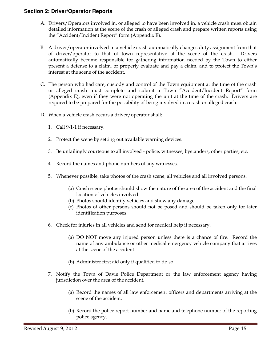#### **Section 2: Driver/Operator Reports**

- A. Drivers/Operators involved in, or alleged to have been involved in, a vehicle crash must obtain detailed information at the scene of the crash or alleged crash and prepare written reports using the "Accident/Incident Report" form (Appendix E).
- B. A driver/operator involved in a vehicle crash automatically changes duty assignment from that of driver/operator to that of town representative at the scene of the crash. Drivers automatically become responsible for gathering information needed by the Town to either present a defense to a claim, or properly evaluate and pay a claim, and to protect the Town's interest at the scene of the accident.
- C. The person who had care, custody and control of the Town equipment at the time of the crash or alleged crash must complete and submit a Town "Accident/Incident Report" form (Appendix E), even if they were not operating the unit at the time of the crash. Drivers are required to be prepared for the possibility of being involved in a crash or alleged crash.
- D. When a vehicle crash occurs a driver/operator shall:
	- 1. Call 9-1-1 if necessary.
	- 2. Protect the scene by setting out available warning devices.
	- 3. Be unfailingly courteous to all involved police, witnesses, bystanders, other parties, etc.
	- 4. Record the names and phone numbers of any witnesses.
	- 5. Whenever possible, take photos of the crash scene, all vehicles and all involved persons.
		- (a) Crash scene photos should show the nature of the area of the accident and the final location of vehicles involved.
		- (b) Photos should identify vehicles and show any damage.
		- (c) Photos of other persons should not be posed and should be taken only for later identification purposes.
	- 6. Check for injuries in all vehicles and send for medical help if necessary.
		- (a) DO NOT move any injured person unless there is a chance of fire. Record the name of any ambulance or other medical emergency vehicle company that arrives at the scene of the accident.
		- (b) Administer first aid only if qualified to do so.
	- 7. Notify the Town of Davie Police Department or the law enforcement agency having jurisdiction over the area of the accident.
		- (a) Record the names of all law enforcement officers and departments arriving at the scene of the accident.
		- (b) Record the police report number and name and telephone number of the reporting police agency.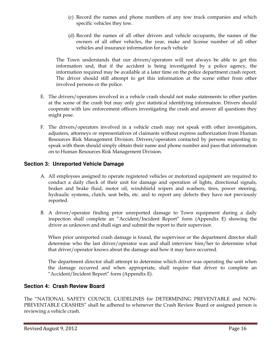- (c) Record the names and phone numbers of any tow truck companies and which specific vehicles they tow.
- (d) Record the names of all other drivers and vehicle occupants, the names of the owners of all other vehicles, the year, make and license number of all other vehicles and insurance information for each vehicle

The Town understands that our drivers/operators will not always be able to get this information and, that if the accident is being investigated by a police agency, the information required may be available at a later time on the police department crash report. The driver should still attempt to get this information at the scene either from other involved persons or the police.

- E. The drivers/operators involved in a vehicle crash should not make statements to other parties at the scene of the crash but may only give statistical identifying information. Drivers should cooperate with law enforcement officers investigating the crash and answer all questions they might pose.
- F. The drivers/operators involved in a vehicle crash may not speak with other investigators, adjusters, attorneys or representatives of claimants without express authorization from Human Resources Risk Management Division. Drivers/operators contacted by persons requesting to speak with them should simply obtain their name and phone number and pass that information on to Human Resources Risk Management Division.

#### **Section 3: Unreported Vehicle Damage**

- A. All employees assigned to operate registered vehicles or motorized equipment are required to conduct a daily check of their unit for damage and operation of lights, directional signals, brakes and brake fluid, motor oil, windshield wipers and washers, tires, power steering, hydraulic systems, clutch, seat belts, etc. and to report any defects they have not previously reported.
- B. A driver/operator finding prior unreported damage to Town equipment during a daily inspection shall complete an "Accident/Incident Report" form (Appendix E) showing the driver as unknown and shall sign and submit the report to their supervisor.

When prior unreported crash damage is found, the supervisor or the department director shall determine who the last driver/operator was and shall interview him/her to determine what that driver/operator knows about the damage and how it may have occurred.

The department director shall attempt to determine which driver was operating the unit when the damage occurred and when appropriate, shall require that driver to complete an "Accident/Incident Report" form (Appendix E).

#### **Section 4: Crash Review Board**

The "NATIONAL SAFETY COUNCIL GUIDELINES for DETERMINING PREVENTABLE and NON-PREVENTABLE CRASHES" shall be adhered to whenever the Crash Review Board or assigned person is reviewing a vehicle crash.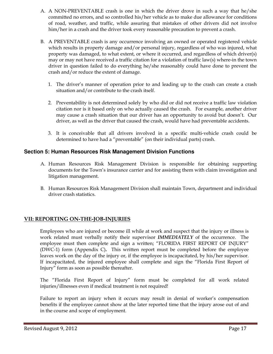- A. A NON-PREVENTABLE crash is one in which the driver drove in such a way that he/she committed no errors, and so controlled his/her vehicle as to make due allowance for conditions of road, weather, and traffic, while assuring that mistakes of other drivers did not involve him/her in a crash and the driver took every reasonable precaution to prevent a crash.
- B. A PREVENTABLE crash is any occurrence involving an owned or operated registered vehicle which results in property damage and/or personal injury, regardless of who was injured, what property was damaged, to what extent, or where it occurred, and regardless of which driver(s) may or may not have received a traffic citation for a violation of traffic law(s) where-in the town driver in question failed to do everything he/she reasonably could have done to prevent the crash and/or reduce the extent of damage.
	- 1. The driver's manner of operation prior to and leading up to the crash can create a crash situation and/or contribute to the crash itself.
	- 2. Preventability is not determined solely by who did or did not receive a traffic law violation citation nor is it based only on who actually caused the crash. For example, another driver may cause a crash situation that our driver has an opportunity to avoid but doesn't. Our driver, as well as the driver that caused the crash, would have had preventable accidents.
	- 3. It is conceivable that all drivers involved in a specific multi-vehicle crash could be determined to have had a "preventable" (on their individual parts) crash.

#### **Section 5: Human Resources Risk Management Division Functions**

- A. Human Resources Risk Management Division is responsible for obtaining supporting documents for the Town's insurance carrier and for assisting them with claim investigation and litigation management.
- B. Human Resources Risk Management Division shall maintain Town, department and individual driver crash statistics.

#### VII: REPORTING ON-THE-JOB-INJURIES

Employees who are injured or become ill while at work and suspect that the injury or illness is work related must verbally notify their supervisor **IMMEDIATELY** of the occurrence. The employee must then complete and sign a written; "FLORIDA FIRST REPORT OF INJURY" (DWC-1) form (Appendix C). This written report must be completed before the employee leaves work on the day of the injury or, if the employee is incapacitated, by his/her supervisor. If incapacitated, the injured employee shall complete and sign the "Florida First Report of Injury" form as soon as possible thereafter.

The "Florida First Report of Injury" form must be completed for all work related injuries/illnesses even if medical treatment is not required!

Failure to report an injury when it occurs may result in denial of worker's compensation benefits if the employee cannot show at the later reported time that the injury arose out of and in the course and scope of employment.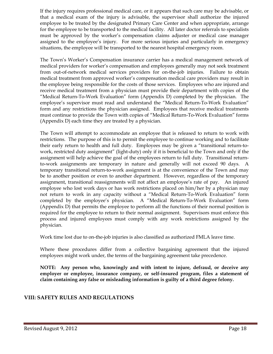If the injury requires professional medical care, or it appears that such care may be advisable, or that a medical exam of the injury is advisable, the supervisor shall authorize the injured employee to be treated by the designated Primary Care Center and when appropriate, arrange for the employee to be transported to the medical facility. All later doctor referrals to specialists must be approved by the worker's compensation claims adjuster or medical case manager assigned to the employee's injury. For more serious injuries and particularly in emergency situations, the employee will be transported to the nearest hospital emergency room.

The Town's Worker's Compensation insurance carrier has a medical management network of medical providers for worker's compensation and employees generally may not seek treatment from out-of-network medical services providers for on-the-job injuries. Failure to obtain medical treatment from approved worker's compensation medical care providers may result in the employee being responsible for the costs of those services. Employees who are injured and receive medical treatment from a physician must provide their department with copies of the "Medical Return-To-Work Evaluation" form (Appendix D) completed by the physician. The employee's supervisor must read and understand the "Medical Return-To-Work Evaluation" form and any restrictions the physician assigned. Employees that receive medical treatments must continue to provide the Town with copies of "Medical Return-To-Work Evaluation" forms (Appendix D) each time they are treated by a physician.

The Town will attempt to accommodate an employee that is released to return to work with restrictions. The purpose of this is to permit the employee to continue working and to facilitate their early return to health and full duty. Employees may be given a "transitional return-towork, restricted duty assignment" (light-duty) only if it is beneficial to the Town and only if the assignment will help achieve the goal of the employees return to full duty. Transitional returnto-work assignments are temporary in nature and generally will not exceed 90 days. A temporary transitional return-to-work assignment is at the convenience of the Town and may be to another position or even to another department. However, regardless of the temporary assignment, transitional reassignments will not affect an employee's rate of pay. An injured employee who lost work days or has work restrictions placed on him/her by a physician may not return to work in any capacity without a "Medical Return-To-Work Evaluation" form completed by the employee's physician. A "Medical Return-To-Work Evaluation" form (Appendix D) that permits the employee to perform all the functions of their normal position is required for the employee to return to their normal assignment. Supervisors must enforce this process and injured employees must comply with any work restrictions assigned by the physician.

Work time lost due to on-the-job injuries is also classified as authorized FMLA leave time.

Where these procedures differ from a collective bargaining agreement that the injured employees might work under, the terms of the bargaining agreement take precedence.

NOTE: Any person who, knowingly and with intent to injure, defraud, or deceive any employer or employee, insurance company, or self-insured program, files a statement of claim containing any false or misleading information is guilty of a third degree felony.

#### VIII: SAFETY RULES AND REGULATIONS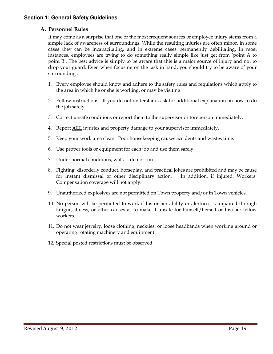#### **Section 1: General Safety Guidelines**

#### A. Personnel Rules

It may come as a surprise that one of the most frequent sources of employee injury stems from a simple lack of awareness of surroundings. While the resulting injuries are often minor, in some cases they can be incapacitating, and in extreme cases permanently debilitating. In most instances, employees are trying to do something really simple like just get from 'point A to point B'. The best advice is simply to be aware that this is a major source of injury and not to drop your guard. Even when focusing on the task in hand, you should try to be aware of your surroundings.

- 1. Every employee should know and adhere to the safety rules and regulations which apply to the area in which he or she is working, or may be visiting.
- 2. Follow instructions! If you do not understand, ask for additional explanation on how to do the job safely.
- 3. Correct unsafe conditions or report them to the supervisor or foreperson immediately.
- 4. Report ALL injuries and property damage to your supervisor immediately.
- 5. Keep your work area clean. Poor housekeeping causes accidents and wastes time.
- 6. Use proper tools or equipment for each job and use them safely.
- 7. Under normal conditions, walk -- do not run.
- 8. Fighting, disorderly conduct, horseplay, and practical jokes are prohibited and may be cause for instant dismissal or other disciplinary action. In addition, if injured, Workers' Compensation coverage will not apply.
- 9. Unauthorized explosives are not permitted on Town property and/or in Town vehicles.
- 10. No person will be permitted to work if his or her ability or alertness is impaired through fatigue, illness, or other causes as to make it unsafe for himself/herself or his/her fellow workers.
- 11. Do not wear jewelry, loose clothing, neckties, or loose headbands when working around or operating rotating machinery and equipment.
- 12. Special posted restrictions must be observed.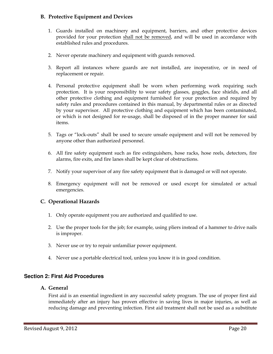#### B. Protective Equipment and Devices

- 1. Guards installed on machinery and equipment, barriers, and other protective devices provided for your protection shall not be removed, and will be used in accordance with established rules and procedures.
- 2. Never operate machinery and equipment with guards removed.
- 3. Report all instances where guards are not installed, are inoperative, or in need of replacement or repair.
- 4. Personal protective equipment shall be worn when performing work requiring such protection. It is your responsibility to wear safety glasses, goggles, face shields, and all other protective clothing and equipment furnished for your protection and required by safety rules and procedures contained in this manual, by departmental rules or as directed by your supervisor. All protective clothing and equipment which has been contaminated, or which is not designed for re-usage, shall be disposed of in the proper manner for said items.
- 5. Tags or "lock-outs" shall be used to secure unsafe equipment and will not be removed by anyone other than authorized personnel.
- 6. All fire safety equipment such as fire extinguishers, hose racks, hose reels, detectors, fire alarms, fire exits, and fire lanes shall be kept clear of obstructions.
- 7. Notify your supervisor of any fire safety equipment that is damaged or will not operate.
- 8. Emergency equipment will not be removed or used except for simulated or actual emergencies.

#### C. Operational Hazards

- 1. Only operate equipment you are authorized and qualified to use.
- 2. Use the proper tools for the job; for example, using pliers instead of a hammer to drive nails is improper.
- 3. Never use or try to repair unfamiliar power equipment.
- 4. Never use a portable electrical tool, unless you know it is in good condition.

#### **Section 2: First Aid Procedures**

#### A. General

First aid is an essential ingredient in any successful safety program. The use of proper first aid immediately after an injury has proven effective in saving lives in major injuries, as well as reducing damage and preventing infection. First aid treatment shall not be used as a substitute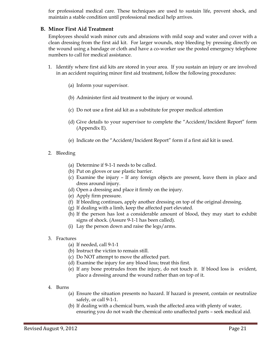for professional medical care. These techniques are used to sustain life, prevent shock, and maintain a stable condition until professional medical help arrives.

#### B. Minor First Aid Treatment

Employees should wash minor cuts and abrasions with mild soap and water and cover with a clean dressing from the first aid kit. For larger wounds, stop bleeding by pressing directly on the wound using a bandage or cloth and have a co-worker use the posted emergency telephone numbers to call for medical assistance.

- 1. Identify where first aid kits are stored in your area. If you sustain an injury or are involved in an accident requiring minor first aid treatment, follow the following procedures:
	- (a) Inform your supervisor.
	- (b) Administer first aid treatment to the injury or wound.
	- (c) Do not use a first aid kit as a substitute for proper medical attention
	- (d) Give details to your supervisor to complete the "Accident/Incident Report" form (Appendix E).
	- (e) Indicate on the "Accident/Incident Report" form if a first aid kit is used.
- 2. Bleeding
	- (a) Determine if 9-1-1 needs to be called.
	- (b) Put on gloves or use plastic barrier.
	- (c) Examine the injury If any foreign objects are present, leave them in place and dress around injury.
	- (d) Open a dressing and place it firmly on the injury.
	- (e) Apply firm pressure.
	- (f) If bleeding continues, apply another dressing on top of the original dressing.
	- (g) If dealing with a limb, keep the affected part elevated.
	- (h) If the person has lost a considerable amount of blood, they may start to exhibit signs of shock. (Assure 9-1-1 has been called).
	- (i) Lay the person down and raise the legs/arms.
- 3. Fractures
	- (a) If needed, call 9-1-1
	- (b) Instruct the victim to remain still.
	- (c) Do NOT attempt to move the affected part.
	- (d) Examine the injury for any blood loss; treat this first.
	- (e) If any bone protrudes from the injury, do not touch it. If blood loss is evident, place a dressing around the wound rather than on top of it.
- 4. Burns
	- (a) Ensure the situation presents no hazard. If hazard is present, contain or neutralize safely, or call 9-1-1.
	- (b) If dealing with a chemical burn, wash the affected area with plenty of water, ensuring you do not wash the chemical onto unaffected parts – seek medical aid.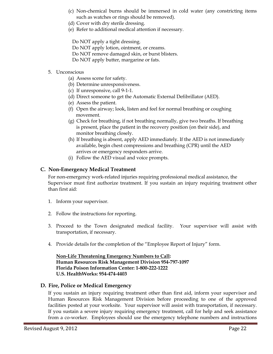- (c) Non-chemical burns should be immersed in cold water (any constricting items such as watches or rings should be removed).
- (d) Cover with dry sterile dressing.
- (e) Refer to additional medical attention if necessary.

Do NOT apply a tight dressing.

- Do NOT apply lotion, ointment, or creams.
- Do NOT remove damaged skin, or burst blisters.
- Do NOT apply butter, margarine or fats.
- 5. Unconscious
	- (a) Assess scene for safety.
	- (b) Determine unresponsiveness.
	- (c) If unresponsive, call 9-1-1.
	- (d) Direct someone to get the Automatic External Defibrillator (AED).
	- (e) Assess the patient.
	- (f) Open the airway; look, listen and feel for normal breathing or coughing movement.
	- (g) Check for breathing, if not breathing normally, give two breaths. If breathing is present, place the patient in the recovery position (on their side), and monitor breathing closely.
	- (h) If breathing is absent, apply AED immediately. If the AED is not immediately available, begin chest compressions and breathing (CPR) until the AED arrives or emergency responders arrive.
	- (i) Follow the AED visual and voice prompts.

#### C. Non-Emergency Medical Treatment

For non-emergency work-related injuries requiring professional medical assistance, the Supervisor must first authorize treatment. If you sustain an injury requiring treatment other than first aid:

- 1. Inform your supervisor.
- 2. Follow the instructions for reporting.
- 3. Proceed to the Town designated medical facility. Your supervisor will assist with transportation, if necessary.
- 4. Provide details for the completion of the "Employee Report of Injury" form.

 Non-Life Threatening Emergency Numbers to Call: Human Resources Risk Management Division 954-797-1097 Florida Poison Information Center: 1-800-222-1222 U.S. HealthWorks: 954-474-4403

#### D. Fire, Police or Medical Emergency

If you sustain an injury requiring treatment other than first aid, inform your supervisor and Human Resources Risk Management Division before proceeding to one of the approved facilities posted at your worksite. Your supervisor will assist with transportation, if necessary. If you sustain a severe injury requiring emergency treatment, call for help and seek assistance from a co-worker. Employees should use the emergency telephone numbers and instructions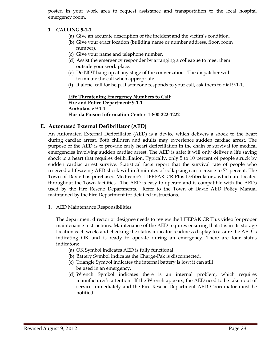posted in your work area to request assistance and transportation to the local hospital emergency room.

#### 1. CALLING 9-1-1

- (a) Give an accurate description of the incident and the victim's condition.
- (b) Give your exact location (building name or number address, floor, room number).
- (c) Give your name and telephone number.
- (d) Assist the emergency responder by arranging a colleague to meet them outside your work place.
- (e) Do NOT hang up at any stage of the conversation. The dispatcher will terminate the call when appropriate.
- (f) If alone, call for help. If someone responds to your call, ask them to dial 9-1-1.

Life Threatening Emergency Numbers to Call: Fire and Police Department: 9-1-1 Ambulance 9-1-1 Florida Poison Information Center: 1-800-222-1222

#### E. Automated External Defibrillator (AED)

An Automated External Defibrillator (AED) is a device which delivers a shock to the heart during cardiac arrest. Both children and adults may experience sudden cardiac arrest. The purpose of the AED is to provide early heart defibrillation in the chain of survival for medical emergencies involving sudden cardiac arrest. The AED is safe; it will only deliver a life saving shock to a heart that requires defibrillation. Typically, only 5 to 10 percent of people struck by sudden cardiac arrest survive. Statistical facts report that the survival rate of people who received a lifesaving AED shock within 3 minutes of collapsing can increase to 74 percent. The Town of Davie has purchased Medtronic's LIFEPAK CR Plus Defibrillators, which are located throughout the Town facilities. The AED is easy to operate and is compatible with the AEDs used by the Fire Rescue Departments. Refer to the Town of Davie AED Policy Manual maintained by the Fire Department for detailed instructions.

1. AED Maintenance Responsibilities:

The department director or designee needs to review the LIFEPAK CR Plus video for proper maintenance instructions. Maintenance of the AED requires ensuring that it is in its storage location each week, and checking the status indicator readiness display to assure the AED is indicating OK and is ready to operate during an emergency. There are four status indicators:

- (a) OK Symbol indicates AED is fully functional.
- (b) Battery Symbol indicates the Charge-Pak is disconnected.
- (c) Triangle Symbol indicates the internal battery is low; it can still be used in an emergency.
- (d) Wrench Symbol indicates there is an internal problem, which requires manufacturer's attention. If the Wrench appears, the AED need to be taken out of service immediately and the Fire Rescue Department AED Coordinator must be notified.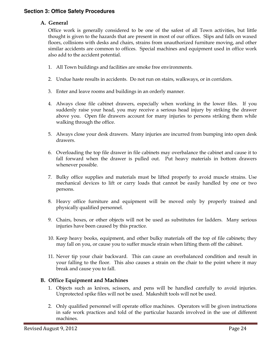#### **Section 3: Office Safety Procedures**

#### A. General

Office work is generally considered to be one of the safest of all Town activities, but little thought is given to the hazards that are present in most of our offices. Slips and falls on waxed floors, collisions with desks and chairs, strains from unauthorized furniture moving, and other similar accidents are common to offices. Special machines and equipment used in office work also add to the accident potential.

- 1. All Town buildings and facilities are smoke free environments.
- 2. Undue haste results in accidents. Do not run on stairs, walkways, or in corridors.
- 3. Enter and leave rooms and buildings in an orderly manner.
- 4. Always close file cabinet drawers, especially when working in the lower files. If you suddenly raise your head, you may receive a serious head injury by striking the drawer above you. Open file drawers account for many injuries to persons striking them while walking through the office.
- 5. Always close your desk drawers. Many injuries are incurred from bumping into open desk drawers.
- 6. Overloading the top file drawer in file cabinets may overbalance the cabinet and cause it to fall forward when the drawer is pulled out. Put heavy materials in bottom drawers whenever possible.
- 7. Bulky office supplies and materials must be lifted properly to avoid muscle strains. Use mechanical devices to lift or carry loads that cannot be easily handled by one or two persons.
- 8. Heavy office furniture and equipment will be moved only by properly trained and physically qualified personnel.
- 9. Chairs, boxes, or other objects will not be used as substitutes for ladders. Many serious injuries have been caused by this practice.
- 10. Keep heavy books, equipment, and other bulky materials off the top of file cabinets; they may fall on you, or cause you to suffer muscle strain when lifting them off the cabinet.
- 11. Never tip your chair backward. This can cause an overbalanced condition and result in your falling to the floor. This also causes a strain on the chair to the point where it may break and cause you to fall.

#### B. Office Equipment and Machines

- 1. Objects such as knives, scissors, and pens will be handled carefully to avoid injuries. Unprotected spike files will not be used. Makeshift tools will not be used.
- 2. Only qualified personnel will operate office machines. Operators will be given instructions in safe work practices and told of the particular hazards involved in the use of different machines.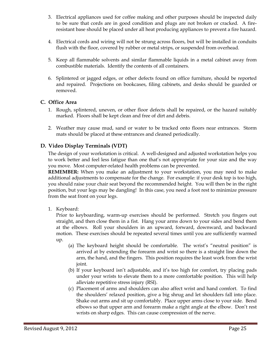- 3. Electrical appliances used for coffee making and other purposes should be inspected daily to be sure that cords are in good condition and plugs are not broken or cracked. A fireresistant base should be placed under all heat producing appliances to prevent a fire hazard.
- 4. Electrical cords and wiring will not be strung across floors, but will be installed in conduits flush with the floor, covered by rubber or metal strips, or suspended from overhead.
- 5. Keep all flammable solvents and similar flammable liquids in a metal cabinet away from combustible materials. Identify the contents of all containers.
- 6. Splintered or jagged edges, or other defects found on office furniture, should be reported and repaired. Projections on bookcases, filing cabinets, and desks should be guarded or removed.

#### C. Office Area

- 1. Rough, splintered, uneven, or other floor defects shall be repaired, or the hazard suitably marked. Floors shall be kept clean and free of dirt and debris.
- 2. Weather may cause mud, sand or water to be tracked onto floors near entrances. Storm mats should be placed at these entrances and cleaned periodically.

#### D. Video Display Terminals (VDT)

The design of your workstation is critical. A well-designed and adjusted workstation helps you to work better and feel less fatigue than one that's not appropriate for your size and the way you move. Most computer-related health problems can be prevented.

REMEMBER: When you make an adjustment to your workstation, you may need to make additional adjustments to compensate for the change. For example: if your desk top is too high, you should raise your chair seat beyond the recommended height. You will then be in the right position, but your legs may be dangling! In this case, you need a foot rest to minimize pressure from the seat front on your legs.

1. Keyboard:

Prior to keyboarding, warm-up exercises should be performed. Stretch you fingers out straight, and then close them in a fist. Hang your arms down to your sides and bend them at the elbows. Roll your shoulders in an upward, forward, downward, and backward motion. These exercises should be repeated several times until you are sufficiently warmed up.

- (a) The keyboard height should be comfortable. The wrist's "neutral position" is arrived at by extending the forearm and wrist so there is a straight line down the arm, the hand, and the fingers. This position requires the least work from the wrist joint.
- (b) If your keyboard isn't adjustable, and it's too high for comfort, try placing pads under your wrists to elevate them to a more comfortable position. This will help alleviate repetitive stress injury (RSI).
- (c) Placement of arms and shoulders can also affect wrist and hand comfort. To find the shoulders' relaxed position, give a big shrug and let shoulders fall into place. Shake out arms and sit up comfortably. Place upper arms close to your side. Bend elbows so that upper arm and forearm make a right angle at the elbow. Don't rest wrists on sharp edges. This can cause compression of the nerve.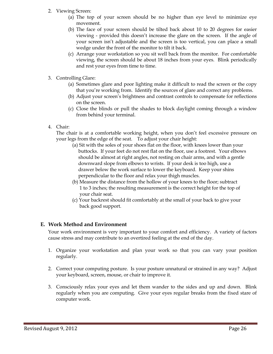- 2. Viewing Screen:
	- (a) The top of your screen should be no higher than eye level to minimize eye movement.
	- (b) The face of your screen should be tilted back about 10 to 20 degrees for easier viewing - provided this doesn't increase the glare on the screen. If the angle of your screen isn't adjustable and the screen is too vertical, you can place a small wedge under the front of the monitor to tilt it back.
	- (c) Arrange your workstation so you sit well back from the monitor. For comfortable viewing, the screen should be about 18 inches from your eyes. Blink periodically and rest your eyes from time to time.
- 3. Controlling Glare:
	- (a) Sometimes glare and poor lighting make it difficult to read the screen or the copy that you're working from. Identify the sources of glare and correct any problems.
	- (b) Adjust your screen's brightness and contrast controls to compensate for reflections on the screen.
	- (c) Close the blinds or pull the shades to block daylight coming through a window from behind your terminal.
- 4. Chair:

 The chair is at a comfortable working height, when you don't feel excessive pressure on your legs from the edge of the seat. To adjust your chair height:

- (a) Sit with the soles of your shoes flat on the floor, with knees lower than your buttocks. If your feet do not rest flat on the floor, use a footrest. Your elbows should be almost at right angles, not resting on chair arms, and with a gentle downward slope from elbows to wrists. If your desk is too high, use a drawer below the work surface to lower the keyboard. Keep your shins perpendicular to the floor and relax your thigh muscles.
- (b) Measure the distance from the hollow of your knees to the floor; subtract 1 to 3 inches; the resulting measurement is the correct height for the top of your chair seat.
- (c) Your backrest should fit comfortably at the small of your back to give your back good support.

#### E. Work Method and Environment

 Your work environment is very important to your comfort and efficiency. A variety of factors cause stress and may contribute to an overtired feeling at the end of the day.

- 1. Organize your workstation and plan your work so that you can vary your position regularly.
- 2. Correct your computing posture. Is your posture unnatural or strained in any way? Adjust your keyboard, screen, mouse, or chair to improve it.
- 3. Consciously relax your eyes and let them wander to the sides and up and down. Blink regularly when you are computing. Give your eyes regular breaks from the fixed stare of computer work.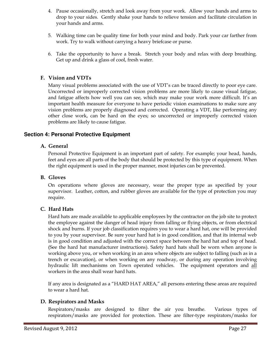- 4. Pause occasionally, stretch and look away from your work. Allow your hands and arms to drop to your sides. Gently shake your hands to relieve tension and facilitate circulation in your hands and arms.
- 5. Walking time can be quality time for both your mind and body. Park your car farther from work. Try to walk without carrying a heavy briefcase or purse.
- 6. Take the opportunity to have a break. Stretch your body and relax with deep breathing. Get up and drink a glass of cool, fresh water.

#### F. Vision and VDTs

 Many visual problems associated with the use of VDT's can be traced directly to poor eye care. Uncorrected or improperly corrected vision problems are more likely to cause visual fatigue, and fatigue affects how well you can see, which may make your work more difficult. It's an important health measure for everyone to have periodic vision examinations to make sure any vision problems are properly diagnosed and corrected. Operating a VDT, like performing any other close work, can be hard on the eyes; so uncorrected or improperly corrected vision problems are likely to cause fatigue.

#### **Section 4: Personal Protective Equipment**

#### A. General

Personal Protective Equipment is an important part of safety. For example; your head, hands, feet and eyes are all parts of the body that should be protected by this type of equipment. When the right equipment is used in the proper manner, most injuries can be prevented.

#### B. Gloves

On operations where gloves are necessary, wear the proper type as specified by your supervisor. Leather, cotton, and rubber gloves are available for the type of protection you may require.

#### C. Hard Hats

 Hard hats are made available to applicable employees by the contractor on the job site to protect the employee against the danger of head injury from falling or flying objects, or from electrical shock and burns. If your job classification requires you to wear a hard hat, one will be provided to you by your supervisor. Be sure your hard hat is in good condition, and that its internal web is in good condition and adjusted with the correct space between the hard hat and top of head. (See the hard hat manufacturer instructions). Safety hard hats shall be worn when anyone is working above you, or when working in an area where objects are subject to falling (such as in a trench or excavation), or when working on any roadway, or during any operation involving hydraulic lift mechanisms on Town operated vehicles. The equipment operators and all workers in the area shall wear hard hats.

 If any area is designated as a "HARD HAT AREA," all persons entering these areas are required to wear a hard hat.

#### D. Respirators and Masks

 Respirators/masks are designed to filter the air you breathe. Various types of respirators/masks are provided for protection. These are filter-type respirators/masks for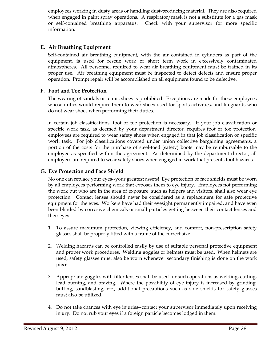employees working in dusty areas or handling dust-producing material. They are also required when engaged in paint spray operations. A respirator/mask is not a substitute for a gas mask or self-contained breathing apparatus. Check with your supervisor for more specific information.

#### E. Air Breathing Equipment

 Self-contained air breathing equipment, with the air contained in cylinders as part of the equipment, is used for rescue work or short term work in excessively contaminated atmospheres. All personnel required to wear air breathing equipment must be trained in its proper use. Air breathing equipment must be inspected to detect defects and ensure proper operation. Prompt repair will be accomplished on all equipment found to be defective.

#### F. Foot and Toe Protection

 The wearing of sandals or tennis shoes is prohibited. Exceptions are made for those employees whose duties would require them to wear shoes used for sports activities, and lifeguards who do not wear shoes when performing their duties.

In certain job classifications, foot or toe protection is necessary. If your job classification or specific work task, as deemed by your department director, requires foot or toe protection, employees are required to wear safety shoes when engaged in that job classification or specific work task. For job classifications covered under union collective bargaining agreements, a portion of the costs for the purchase of steel-toed (safety) boots may be reimbursable to the employee as specified within the agreement. As determined by the department director, all employees are required to wear safety shoes when engaged in work that presents foot hazards.

#### G. Eye Protection and Face Shield

 No one can replace your eyes--your greatest assets! Eye protection or face shields must be worn by all employees performing work that exposes them to eye injury. Employees not performing the work but who are in the area of exposure, such as helpers and visitors, shall also wear eye protection. Contact lenses should never be considered as a replacement for safe protective equipment for the eyes. Workers have had their eyesight permanently impaired, and have even been blinded by corrosive chemicals or small particles getting between their contact lenses and their eyes.

- 1. To assure maximum protection, viewing efficiency, and comfort, non-prescription safety glasses shall be properly fitted with a frame of the correct size.
- 2. Welding hazards can be controlled easily by use of suitable personal protective equipment and proper work procedures. Welding goggles or helmets must be used. When helmets are used, safety glasses must also be worn whenever secondary finishing is done on the work piece.
- 3. Appropriate goggles with filter lenses shall be used for such operations as welding, cutting, lead burning, and brazing. Where the possibility of eye injury is increased by grinding, buffing, sandblasting, etc., additional precautions such as side shields for safety glasses must also be utilized.
- 4. Do not take chances with eye injuries--contact your supervisor immediately upon receiving injury. Do not rub your eyes if a foreign particle becomes lodged in them.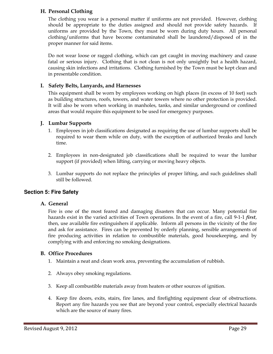#### H. Personal Clothing

 The clothing you wear is a personal matter if uniforms are not provided. However, clothing should be appropriate to the duties assigned and should not provide safety hazards. If uniforms are provided by the Town, they must be worn during duty hours. All personal clothing/uniforms that have become contaminated shall be laundered/disposed of in the proper manner for said items.

Do not wear loose or ragged clothing, which can get caught in moving machinery and cause fatal or serious injury. Clothing that is not clean is not only unsightly but a health hazard, causing skin infections and irritations. Clothing furnished by the Town must be kept clean and in presentable condition.

#### I. Safety Belts, Lanyards, and Harnesses

 This equipment shall be worn by employees working on high places (in excess of 10 feet) such as building structures, roofs, towers, and water towers where no other protection is provided. It will also be worn when working in manholes, tanks, and similar underground or confined areas that would require this equipment to be used for emergency purposes.

#### J. Lumbar Supports

- 1. Employees in job classifications designated as requiring the use of lumbar supports shall be required to wear them while on duty, with the exception of authorized breaks and lunch time.
- 2. Employees in non-designated job classifications shall be required to wear the lumbar support (if provided) when lifting, carrying or moving heavy objects.
- 3. Lumbar supports do not replace the principles of proper lifting, and such guidelines shall still be followed.

#### **Section 5: Fire Safety**

#### A. General

Fire is one of the most feared and damaging disasters that can occur. Many potential fire hazards exist in the varied activities of Town operations. In the event of a fire, call 9-1-1 *first*, then, use available fire extinguishers if applicable. Inform all persons in the vicinity of the fire and ask for assistance. Fires can be prevented by orderly planning, sensible arrangements of fire producing activities in relation to combustible materials, good housekeeping, and by complying with and enforcing no smoking designations.

#### B. Office Procedures

- 1. Maintain a neat and clean work area, preventing the accumulation of rubbish.
- 2. Always obey smoking regulations.
- 3. Keep all combustible materials away from heaters or other sources of ignition.
- 4. Keep fire doors, exits, stairs, fire lanes, and firefighting equipment clear of obstructions. Report any fire hazards you see that are beyond your control, especially electrical hazards which are the source of many fires.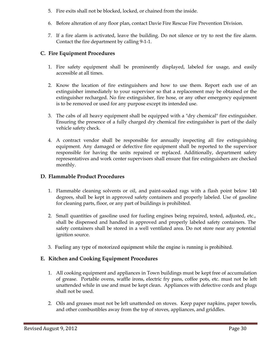- 5. Fire exits shall not be blocked, locked, or chained from the inside.
- 6. Before alteration of any floor plan, contact Davie Fire Rescue Fire Prevention Division.
- 7. If a fire alarm is activated, leave the building. Do not silence or try to rest the fire alarm. Contact the fire department by calling 9-1-1.

#### C. Fire Equipment Procedures

- 1. Fire safety equipment shall be prominently displayed, labeled for usage, and easily accessible at all times.
- 2. Know the location of fire extinguishers and how to use them. Report each use of an extinguisher immediately to your supervisor so that a replacement may be obtained or the extinguisher recharged. No fire extinguisher, fire hose, or any other emergency equipment is to be removed or used for any purpose except its intended use.
- 3. The cabs of all heavy equipment shall be equipped with a "dry chemical" fire extinguisher. Ensuring the presence of a fully charged dry chemical fire extinguisher is part of the daily vehicle safety check.
- 4. A contract vendor shall be responsible for annually inspecting all fire extinguishing equipment. Any damaged or defective fire equipment shall be reported to the supervisor responsible for having the units repaired or replaced. Additionally, department safety representatives and work center supervisors shall ensure that fire extinguishers are checked monthly.

#### D. Flammable Product Procedures

- 1. Flammable cleaning solvents or oil, and paint-soaked rags with a flash point below 140 degrees, shall be kept in approved safety containers and properly labeled. Use of gasoline for cleaning parts, floor, or any part of buildings is prohibited.
- 2. Small quantities of gasoline used for fueling engines being repaired, tested, adjusted, etc., shall be dispensed and handled in approved and properly labeled safety containers. The safety containers shall be stored in a well ventilated area. Do not store near any potential ignition source.
- 3. Fueling any type of motorized equipment while the engine is running is prohibited.

#### E. Kitchen and Cooking Equipment Procedures

- 1. All cooking equipment and appliances in Town buildings must be kept free of accumulation of grease. Portable ovens, waffle irons, electric fry pans, coffee pots, etc. must not be left unattended while in use and must be kept clean. Appliances with defective cords and plugs shall not be used.
- 2. Oils and greases must not be left unattended on stoves. Keep paper napkins, paper towels, and other combustibles away from the top of stoves, appliances, and griddles.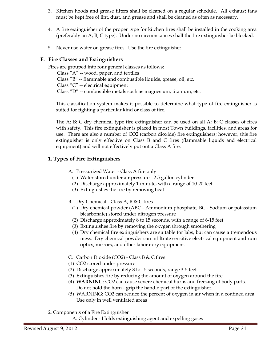- 3. Kitchen hoods and grease filters shall be cleaned on a regular schedule. All exhaust fans must be kept free of lint, dust, and grease and shall be cleaned as often as necessary.
- 4. A fire extinguisher of the proper type for kitchen fires shall be installed in the cooking area (preferably an A, B, C type). Under no circumstances shall the fire extinguisher be blocked.
- 5. Never use water on grease fires. Use the fire extinguisher.

#### F. Fire Classes and Extinguishers

Fires are grouped into four general classes as follows: Class "A" -- wood, paper, and textiles Class "B" -- flammable and combustible liquids, grease, oil, etc. Class "C" -- electrical equipment Class "D" -- combustible metals such as magnesium, titanium, etc.

This classification system makes it possible to determine what type of fire extinguisher is suited for fighting a particular kind or class of fire.

The A: B: C dry chemical type fire extinguisher can be used on all A: B: C classes of fires with safety. This fire extinguisher is placed in most Town buildings, facilities, and areas for use. There are also a number of CO2 (carbon dioxide) fire extinguishers; however, this fire extinguisher is only effective on Class B and C fires (flammable liquids and electrical equipment) and will not effectively put out a Class A fire.

#### 1. Types of Fire Extinguishers

- A. Pressurized Water Class A fire only
	- (1) Water stored under air pressure 2.5 gallon cylinder
	- (2) Discharge approximately 1 minute, with a range of 10-20 feet
	- (3) Extinguishes the fire by removing heat

B. Dry Chemical - Class A, B & C fires

- (1) Dry chemical powder (ABC Ammonium phosphate, BC Sodium or potassium bicarbonate) stored under nitrogen pressure
- (2) Discharge approximately 8 to 15 seconds, with a range of 6-15 feet
- (3) Extinguishes fire by removing the oxygen through smothering
- (4) Dry chemical fire extinguishers are suitable for labs, but can cause a tremendous mess. Dry chemical powder can infiltrate sensitive electrical equipment and ruin optics, mirrors, and other laboratory equipment.
- C. Carbon Dioxide (CO2) Class B & C fires
- (1) CO2 stored under pressure
- (2) Discharge approximately 8 to 15 seconds, range 3-5 feet
- (3) Extinguishes fire by reducing the amount of oxygen around the fire
- (4) WARNING: CO2 can cause severe chemical burns and freezing of body parts. Do not hold the horn - grip the handle part of the extinguisher.
- (5) WARNING: CO2 can reduce the percent of oxygen in air when in a confined area. Use only in well ventilated areas
- 2. Components of a Fire Extinguisher
	- A. Cylinder Holds extinguishing agent and expelling gases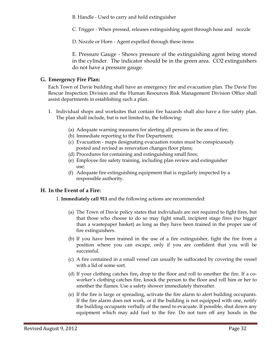B. Handle - Used to carry and hold extinguisher

C. Trigger - When pressed, releases extinguishing agent through hose and nozzle

D. Nozzle or Horn - Agent expelled through these items

E. Pressure Gauge - Shows pressure of the extinguishing agent being stored in the cylinder. The indicator should be in the green area. CO2 extinguishers do not have a pressure gauge.

#### G. Emergency Fire Plan:

Each Town of Davie building shall have an emergency fire and evacuation plan. The Davie Fire Rescue Inspection Division and the Human Resources Risk Management Division Office shall assist departments in establishing such a plan.

- 1. Individual shops and worksites that contain fire hazards shall also have a fire safety plan. The plan shall include, but is not limited to, the following:
	- (a) Adequate warning measures for alerting all persons in the area of fire;
	- (b) Immediate reporting to the Fire Department;
	- (c) Evacuation maps designating evacuation routes must be conspicuously posted and revised as renovation changes floor plans;
	- (d) Procedures for containing and extinguishing small fires;
	- (e) Employee fire safety training, including plan review and extinguisher use;
	- (f) Adequate fire extinguishing equipment that is regularly inspected by a responsible authority.

#### H. In the Event of a Fire:

#### 1. Immediately call 911 and the following actions are recommended:

- (a) The Town of Davie policy states that individuals are not required to fight fires, but that those who choose to do so may fight small, incipient stage fires (no bigger than a wastepaper basket) as long as they have been trained in the proper use of fire extinguishers.
- (b) If you have been trained in the use of a fire extinguisher, fight the fire from a position where you can escape, only if you are confident that you will be successful.
- (c) A fire contained in a small vessel can usually be suffocated by covering the vessel with a lid of some sort.
- (d) If your clothing catches fire, drop to the floor and roll to smother the fire. If a coworker's clothing catches fire, knock the person to the floor and roll him or her to smother the flames. Use a safety shower immediately thereafter.
- (e) If the fire is large or spreading, activate the fire alarm to alert building occupants. If the fire alarm does not work, or if the building is not equipped with one, notify the building occupants verbally of the need to evacuate. If possible, shut down any equipment which may add fuel to the fire. Do not turn off any hoods in the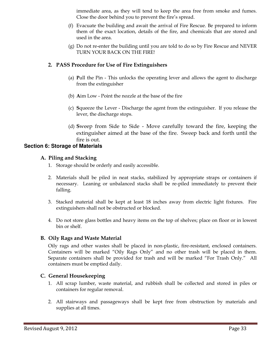immediate area, as they will tend to keep the area free from smoke and fumes. Close the door behind you to prevent the fire's spread.

- (f) Evacuate the building and await the arrival of Fire Rescue. Be prepared to inform them of the exact location, details of the fire, and chemicals that are stored and used in the area.
- (g) Do not re-enter the building until you are told to do so by Fire Rescue and NEVER TURN YOUR BACK ON THE FIRE!

#### 2. PASS Procedure for Use of Fire Extinguishers

- (a) Pull the Pin This unlocks the operating lever and allows the agent to discharge from the extinguisher
- (b) Aim Low Point the nozzle at the base of the fire
- (c) Squeeze the Lever Discharge the agent from the extinguisher. If you release the lever, the discharge stops.
- (d) Sweep from Side to Side Move carefully toward the fire, keeping the extinguisher aimed at the base of the fire. Sweep back and forth until the fire is out.

#### **Section 6: Storage of Materials**

#### A. Piling and Stacking

- 1. Storage should be orderly and easily accessible.
- 2. Materials shall be piled in neat stacks, stabilized by appropriate straps or containers if necessary. Leaning or unbalanced stacks shall be re-piled immediately to prevent their falling.
- 3. Stacked material shall be kept at least 18 inches away from electric light fixtures. Fire extinguishers shall not be obstructed or blocked.
- 4. Do not store glass bottles and heavy items on the top of shelves; place on floor or in lowest bin or shelf.

#### B. Oily Rags and Waste Material

 Oily rags and other wastes shall be placed in non-plastic, fire-resistant, enclosed containers. Containers will be marked "Oily Rags Only" and no other trash will be placed in them. Separate containers shall be provided for trash and will be marked "For Trash Only." All containers must be emptied daily.

#### C. General Housekeeping

- 1. All scrap lumber, waste material, and rubbish shall be collected and stored in piles or containers for regular removal.
- 2. All stairways and passageways shall be kept free from obstruction by materials and supplies at all times.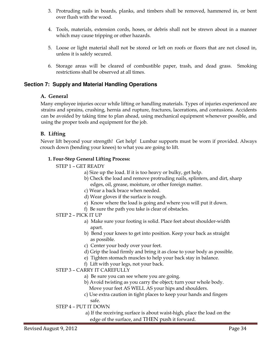- 3. Protruding nails in boards, planks, and timbers shall be removed, hammered in, or bent over flush with the wood.
- 4. Tools, materials, extension cords, hoses, or debris shall not be strewn about in a manner which may cause tripping or other hazards.
- 5. Loose or light material shall not be stored or left on roofs or floors that are not closed in, unless it is safely secured.
- 6. Storage areas will be cleared of combustible paper, trash, and dead grass. Smoking restrictions shall be observed at all times.

#### **Section 7: Supply and Material Handling Operations**

#### A. General

Many employee injuries occur while lifting or handling materials. Types of injuries experienced are strains and sprains, crushing, hernia and rupture, fractures, lacerations, and contusions. Accidents can be avoided by taking time to plan ahead, using mechanical equipment whenever possible, and using the proper tools and equipment for the job.

#### B. Lifting

 Never lift beyond your strength! Get help! Lumbar supports must be worn if provided. Always crouch down (bending your knees) to what you are going to lift.

#### 1. Four-Step General Lifting Process:

- STEP 1 GET READY
	- a) Size up the load. If it is too heavy or bulky, get help.
	- b) Check the load and remove protruding nails, splinters, and dirt, sharp edges, oil, grease, moisture, or other foreign matter.
	- c) Wear a back brace when needed.
	- d) Wear gloves if the surface is rough.
	- e) Know where the load is going and where you will put it down.
	- f) Be sure the path you take is clear of obstacles.
- STEP 2 PICK IT UP
	- a) Make sure your footing is solid. Place feet about shoulder-width apart.
	- b) Bend your knees to get into position. Keep your back as straight as possible.
	- c) Center your body over your feet.
	- d) Grip the load firmly and bring it as close to your body as possible.
	- e) Tighten stomach muscles to help your back stay in balance.
	- f) Lift with your legs, not your back.
- STEP 3 CARRY IT CAREFULLY
	- a) Be sure you can see where you are going.
	- b) Avoid twisting as you carry the object; turn your whole body. Move your feet AS WELL AS your hips and shoulders.
	- c) Use extra caution in tight places to keep your hands and fingers
		- safe.

#### STEP 4 – PUT IT DOWN

 a) If the receiving surface is about waist-high, place the load on the edge of the surface, and THEN push it forward.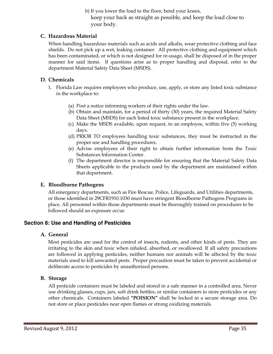b) If you lower the load to the floor, bend your knees, keep your back as straight as possible, and keep the load close to your body.

#### C. Hazardous Material

When handling hazardous materials such as acids and alkalis, wear protective clothing and face shields. Do not pick up a wet, leaking container. All protective clothing and equipment which has been contaminated, or which is not designed for re-usage, shall be disposed of in the proper manner for said items. If questions arise as to proper handling and disposal, refer to the department Material Safety Data Sheet (MSDS).

#### D. Chemicals

- 1. Florida Law requires employees who produce, use, apply, or store any listed toxic substance in the workplace to:
	- (a) Post a notice informing workers of their rights under the law.
	- (b) Obtain and maintain, for a period of thirty (30) years, the required Material Safety Data Sheet (MSDS) for each listed toxic substance present in the workplace.
	- (c) Make the MSDS available, upon request, to an employee, within five (5) working days.
	- (d) PRIOR TO employees handling toxic substances, they must be instructed in the proper use and handling procedures.
	- (e) Advise employees of their right to obtain further information from the Toxic Substances Information Center.
	- (f) The department director is responsible for ensuring that the Material Safety Data Sheets applicable to the products used by the department are maintained within that department.

#### E. Bloodborne Pathogens

All emergency departments, such as Fire Rescue, Police, Lifeguards, and Utilities departments, or those identified in 29CFR1910.1030 must have stringent Bloodborne Pathogens Programs in place. All personnel within those departments must be thoroughly trained on procedures to be followed should an exposure occur.

#### **Section 8: Use and Handling of Pesticides**

#### A. General

Most pesticides are used for the control of insects, rodents, and other kinds of pests. They are irritating to the skin and toxic when inhaled, absorbed, or swallowed. If all safety precautions are followed in applying pesticides, neither humans nor animals will be affected by the toxic materials used to kill unwanted pests. Proper precaution must be taken to prevent accidental or deliberate access to pesticides by unauthorized persons.

#### B. Storage

All pesticide containers must be labeled and stored in a safe manner in a controlled area. Never use drinking glasses, cups, jars, soft drink bottles, or similar containers to store pesticides or any other chemicals. Containers labeled "POISION" shall be locked in a secure storage area. Do not store or place pesticides near open flames or strong oxidizing materials.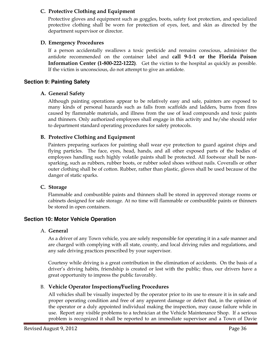#### C. Protective Clothing and Equipment

 Protective gloves and equipment such as goggles, boots, safety foot protection, and specialized protective clothing shall be worn for protection of eyes, feet, and skin as directed by the department supervisor or director.

#### D. Emergency Procedures

 If a person accidentally swallows a toxic pesticide and remains conscious, administer the antidote recommended on the container label and call 9-1-1 or the Florida Poison Information Center (1-800-222-1222). Get the victim to the hospital as quickly as possible. If the victim is unconscious, do not attempt to give an antidote.

#### **Section 9: Painting Safety**

#### A. General Safety

Although painting operations appear to be relatively easy and safe, painters are exposed to many kinds of personal hazards such as falls from scaffolds and ladders, burns from fires caused by flammable materials, and illness from the use of lead compounds and toxic paints and thinners. Only authorized employees shall engage in this activity and he/she should refer to department standard operating procedures for safety protocols.

#### B. Protective Clothing and Equipment

Painters preparing surfaces for painting shall wear eye protection to guard against chips and flying particles. The face, eyes, head, hands, and all other exposed parts of the bodies of employees handling such highly volatile paints shall be protected. All footwear shall be nonsparking, such as rubbers, rubber boots, or rubber soled shoes without nails. Coveralls or other outer clothing shall be of cotton. Rubber, rather than plastic, gloves shall be used because of the danger of static sparks.

#### C. Storage

Flammable and combustible paints and thinners shall be stored in approved storage rooms or cabinets designed for safe storage. At no time will flammable or combustible paints or thinners be stored in open containers.

#### **Section 10: Motor Vehicle Operation**

#### A. General

As a driver of any Town vehicle, you are solely responsible for operating it in a safe manner and are charged with complying with all state, county, and local driving rules and regulations, and any safe driving practices prescribed by your supervisor.

Courtesy while driving is a great contribution in the elimination of accidents. On the basis of a driver's driving habits, friendship is created or lost with the public; thus, our drivers have a great opportunity to impress the public favorably.

#### B. Vehicle Operator Inspections/Fueling Procedures

All vehicles shall be visually inspected by the operator prior to its use to ensure it is in safe and proper operating condition and free of any apparent damage or defect that, in the opinion of the operator or a duly appointed individual making the inspection, may cause failure while in use. Report any visible problems to a technician at the Vehicle Maintenance Shop. If a serious problem is recognized it shall be reported to an immediate supervisor and a Town of Davie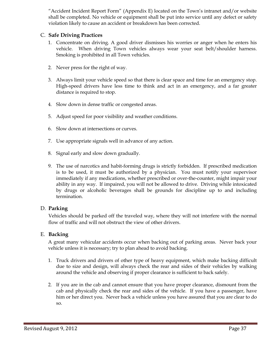"Accident Incident Report Form" (Appendix E) located on the Town's intranet and/or website shall be completed. No vehicle or equipment shall be put into service until any defect or safety violation likely to cause an accident or breakdown has been corrected.

#### C. Safe Driving Practices

- 1. Concentrate on driving. A good driver dismisses his worries or anger when he enters his vehicle. When driving Town vehicles always wear your seat belt/shoulder harness. Smoking is prohibited in all Town vehicles.
- 2. Never press for the right of way.
- 3. Always limit your vehicle speed so that there is clear space and time for an emergency stop. High-speed drivers have less time to think and act in an emergency, and a far greater distance is required to stop.
- 4. Slow down in dense traffic or congested areas.
- 5. Adjust speed for poor visibility and weather conditions.
- 6. Slow down at intersections or curves.
- 7. Use appropriate signals well in advance of any action.
- 8. Signal early and slow down gradually.
- 9. The use of narcotics and habit-forming drugs is strictly forbidden. If prescribed medication is to be used, it must be authorized by a physician. You must notify your supervisor immediately if any medications, whether prescribed or over-the-counter, might impair your ability in any way. If impaired, you will not be allowed to drive. Driving while intoxicated by drugs or alcoholic beverages shall be grounds for discipline up to and including termination.

#### D. Parking

Vehicles should be parked off the traveled way, where they will not interfere with the normal flow of traffic and will not obstruct the view of other drivers.

#### E. Backing

 A great many vehicular accidents occur when backing out of parking areas. Never back your vehicle unless it is necessary; try to plan ahead to avoid backing.

- 1. Truck drivers and drivers of other type of heavy equipment, which make backing difficult due to size and design, will always check the rear and sides of their vehicles by walking around the vehicle and observing if proper clearance is sufficient to back safely.
- 2. If you are in the cab and cannot ensure that you have proper clearance, dismount from the cab and physically check the rear and sides of the vehicle. If you have a passenger, have him or her direct you. Never back a vehicle unless you have assured that you are clear to do so.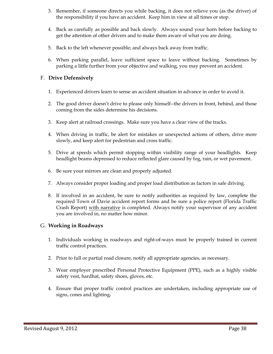- 3. Remember, if someone directs you while backing, it does not relieve you (as the driver) of the responsibility if you have an accident. Keep him in view at all times or stop.
- 4. Back as carefully as possible and back slowly. Always sound your horn before backing to get the attention of other drivers and to make them aware of what you are doing.
- 5. Back to the left whenever possible; and always back away from traffic.
- 6. When parking parallel, leave sufficient space to leave without backing. Sometimes by parking a little further from your objective and walking, you may prevent an accident.

#### F. Drive Defensively

- 1. Experienced drivers learn to sense an accident situation in advance in order to avoid it.
- 2. The good driver doesn't drive to please only himself--the drivers in front, behind, and those coming from the sides determine his decisions.
- 3. Keep alert at railroad crossings. Make sure you have a clear view of the tracks.
- 4. When driving in traffic, be alert for mistakes or unexpected actions of others, drive more slowly, and keep alert for pedestrian and cross traffic.
- 5. Drive at speeds which permit stopping within visibility range of your headlights. Keep headlight beams depressed to reduce reflected glare caused by fog, rain, or wet pavement.
- 6. Be sure your mirrors are clean and properly adjusted.
- 7. Always consider proper loading and proper load distribution as factors in safe driving.
- 8. If involved in an accident, be sure to notify authorities as required by law, complete the required Town of Davie accident report forms and be sure a police report (Florida Traffic Crash Report) with narrative is completed. Always notify your supervisor of any accident you are involved in, no matter how minor.

#### G. Working in Roadways

- 1. Individuals working in roadways and right-of-ways must be properly trained in current traffic control practices.
- 2. Prior to full or partial road closure, notify all appropriate agencies, as necessary.
- 3. Wear employer prescribed Personal Protective Equipment (PPE), such as a highly visible safety vest, hardhat, safety shoes, gloves, etc.
- 4. Ensure that proper traffic control practices are undertaken, including appropriate use of signs, cones and lighting.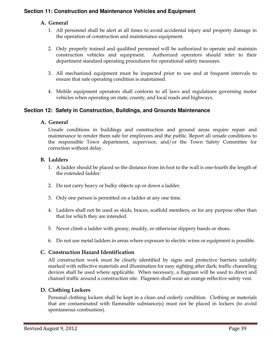#### **Section 11: Construction and Maintenance Vehicles and Equipment**

#### A. General

- 1. All personnel shall be alert at all times to avoid accidental injury and property damage in the operation of construction and maintenance equipment.
- 2. Only properly trained and qualified personnel will be authorized to operate and maintain construction vehicles and equipment. Authorized operators should refer to their department standard operating procedures for operational safety measures.
- 3. All mechanized equipment must be inspected prior to use and at frequent intervals to ensure that safe operating condition is maintained.
- 4. Mobile equipment operators shall conform to all laws and regulations governing motor vehicles when operating on state, county, and local roads and highways.

#### **Section 12: Safety in Construction, Buildings, and Grounds Maintenance**

#### A. General

Unsafe conditions in buildings and construction and ground areas require repair and maintenance to render them safe for employees and the public. Report all unsafe conditions to the responsible Town department, supervisor, and/or the Town Safety Committee for correction without delay.

#### B. Ladders

- 1. A ladder should be placed so the distance from its foot to the wall is one-fourth the length of the extended ladder.
- 2. Do not carry heavy or bulky objects up or down a ladder.
- 3. Only one person is permitted on a ladder at any one time.
- 4. Ladders shall not be used as skids, braces, scaffold members, or for any purpose other than that for which they are intended.
- 5. Never climb a ladder with greasy, muddy, or otherwise slippery hands or shoes.
- 6. Do not use metal ladders in areas where exposure to electric wires or equipment is possible.

#### C. Construction Hazard Identification

All construction work must be clearly identified by signs and protective barriers suitably marked with reflective materials and illumination for easy sighting after dark; traffic channeling devices shall be used where applicable. When necessary, a flagman will be used to direct and channel traffic around a construction site. Flagmen shall wear an orange reflective safety vest.

#### D. Clothing Lockers

Personal clothing lockers shall be kept in a clean and orderly condition. Clothing or materials that are contaminated with flammable substance(s) must not be placed in lockers (to avoid spontaneous combustion).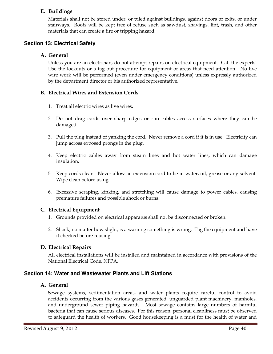#### E. Buildings

Materials shall not be stored under, or piled against buildings, against doors or exits, or under stairways. Roofs will be kept free of refuse such as sawdust, shavings, lint, trash, and other materials that can create a fire or tripping hazard.

#### **Section 13: Electrical Safety**

#### A. General

Unless you are an electrician, do not attempt repairs on electrical equipment. Call the experts! Use the lockouts or a tag out procedure for equipment or areas that need attention. No live wire work will be performed (even under emergency conditions) unless expressly authorized by the department director or his authorized representative.

#### B. Electrical Wires and Extension Cords

- 1. Treat all electric wires as live wires.
- 2. Do not drag cords over sharp edges or run cables across surfaces where they can be damaged.
- 3. Pull the plug instead of yanking the cord. Never remove a cord if it is in use. Electricity can jump across exposed prongs in the plug.
- 4. Keep electric cables away from steam lines and hot water lines, which can damage insulation.
- 5. Keep cords clean. Never allow an extension cord to lie in water, oil, grease or any solvent. Wipe clean before using.
- 6. Excessive scraping, kinking, and stretching will cause damage to power cables, causing premature failures and possible shock or burns.

#### C. Electrical Equipment

- 1. Grounds provided on electrical apparatus shall not be disconnected or broken.
- 2. Shock, no matter how slight, is a warning something is wrong. Tag the equipment and have it checked before reusing.

#### D. Electrical Repairs

All electrical installations will be installed and maintained in accordance with provisions of the National Electrical Code, NFPA.

#### **Section 14: Water and Wastewater Plants and Lift Stations**

#### A. General

Sewage systems, sedimentation areas, and water plants require careful control to avoid accidents occurring from the various gases generated, unguarded plant machinery, manholes, and underground sewer piping hazards. Most sewage contains large numbers of harmful bacteria that can cause serious diseases. For this reason, personal cleanliness must be observed to safeguard the health of workers. Good housekeeping is a must for the health of water and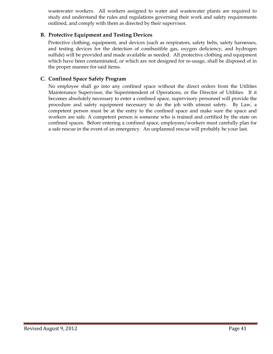wastewater workers. All workers assigned to water and wastewater plants are required to study and understand the rules and regulations governing their work and safety requirements outlined, and comply with them as directed by their supervisor.

#### B. Protective Equipment and Testing Devices

Protective clothing, equipment, and devices (such as respirators, safety belts, safety harnesses, and testing devices for the detection of combustible gas, oxygen deficiency, and hydrogen sulfide) will be provided and made available as needed. All protective clothing and equipment which have been contaminated, or which are not designed for re-usage, shall be disposed of in the proper manner for said items.

#### C. Confined Space Safety Program

No employee shall go into any confined space without the direct orders from the Utilities Maintenance Supervisor, the Superintendent of Operations, or the Director of Utilities. If it becomes absolutely necessary to enter a confined space, supervisory personnel will provide the procedure and safety equipment necessary to do the job with utmost safety. By Law, a competent person must be at the entry to the confined space and make sure the space and workers are safe. A competent person is someone who is trained and certified by the state on confined spaces. Before entering a confined space, employees/workers must carefully plan for a safe rescue in the event of an emergency. An unplanned rescue will probably be your last.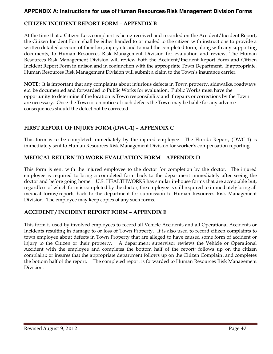#### **APPENDIX A: Instructions for use of Human Resources/Risk Management Division Forms**

#### CITIZEN INCIDENT REPORT FORM – APPENDIX B

At the time that a Citizen Loss complaint is being received and recorded on the Accident/Incident Report, the Citizen Incident Form shall be either handed to or mailed to the citizen with instructions to provide a written detailed account of their loss, injury etc and to mail the completed form, along with any supporting documents, to Human Resources Risk Management Division for evaluation and review. The Human Resources Risk Management Division will review both the Accident/Incident Report Form and Citizen Incident Report Form in unison and in conjunction with the appropriate Town Department. If appropriate, Human Resources Risk Management Division will submit a claim to the Town's insurance carrier.

NOTE: It is important that any complaints about injurious defects in Town property, sidewalks, roadways etc. be documented and forwarded to Public Works for evaluation. Public Works must have the opportunity to determine if the location is Town responsibility and if repairs or corrections by the Town are necessary. Once the Town is on notice of such defects the Town may be liable for any adverse consequences should the defect not be corrected.

#### FIRST REPORT OF INJURY FORM (DWC-1) – APPENDIX C

This form is to be completed immediately by the injured employee. The Florida Report, (DWC-1) is immediately sent to Human Resources Risk Management Division for worker's compensation reporting.

#### MEDICAL RETURN TO WORK EVALUATION FORM – APPENDIX D

This form is sent with the injured employee to the doctor for completion by the doctor. The injured employee is required to bring a completed form back to the department immediately after seeing the doctor and before going home. U.S. HEALTHWORKS has similar in-house forms that are acceptable but, regardless of which form is completed by the doctor, the employee is still required to immediately bring all medical forms/reports back to the department for submission to Human Resources Risk Management Division. The employee may keep copies of any such forms.

#### ACCIDENT / INCIDENT REPORT FORM – APPENDIX E

This form is used by involved employees to record all Vehicle Accidents and all Operational Accidents or Incidents resulting in damage to or loss of Town Property. It is also used to record citizen complaints to town employee about defects in Town Property that are alleged to have caused some form of accident or injury to the Citizen or their property. A department supervisor reviews the Vehicle or Operational Accident with the employee and completes the bottom half of the report; follows up on the citizen complaint; or insures that the appropriate department follows up on the Citizen Complaint and completes the bottom half of the report. The completed report is forwarded to Human Resources Risk Management Division.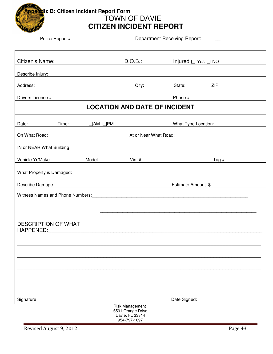

## **Appendix B: Citizen Incident Report Form**  TOWN OF DAVIE **CITIZEN INCIDENT REPORT**

|                            | Department Receiving Report:<br>Police Report # _________________ |                     |                                                                                                                                                                                                                               |                              |                                                                                                                  |
|----------------------------|-------------------------------------------------------------------|---------------------|-------------------------------------------------------------------------------------------------------------------------------------------------------------------------------------------------------------------------------|------------------------------|------------------------------------------------------------------------------------------------------------------|
| Citizen's Name:            |                                                                   |                     | D.O.B.:                                                                                                                                                                                                                       | Injured $\Box$ Yes $\Box$ NO |                                                                                                                  |
| Describe Injury:           |                                                                   |                     | <u> 1989 - Johann Stoff, deutscher Stoff, der Stoff, der Stoff, der Stoff, der Stoff, der Stoff, der Stoff, der S</u>                                                                                                         |                              |                                                                                                                  |
| Address:                   |                                                                   |                     | City: <b>City:</b>                                                                                                                                                                                                            | State: ZIP:                  |                                                                                                                  |
| Drivers License #:         |                                                                   |                     |                                                                                                                                                                                                                               | Phone #:                     |                                                                                                                  |
|                            |                                                                   |                     | <b>LOCATION AND DATE OF INCIDENT</b>                                                                                                                                                                                          |                              |                                                                                                                  |
| Date:                      | Time:                                                             | $\Box$ AM $\Box$ PM |                                                                                                                                                                                                                               | What Type Location:          |                                                                                                                  |
| On What Road:              |                                                                   |                     | At or Near What Road:                                                                                                                                                                                                         |                              |                                                                                                                  |
| IN or NEAR What Building:  |                                                                   |                     | <u> 1989 - Johann Stoff, deutscher Stoffen und der Stoffen und der Stoffen und der Stoffen und der Stoffen und der</u>                                                                                                        |                              |                                                                                                                  |
|                            |                                                                   |                     | Vehicle Yr/Make: Model: Vin. #:                                                                                                                                                                                               |                              | Tag $#$ :                                                                                                        |
| What Property is Damaged:  |                                                                   |                     | <u> 1980 - Jan Samuel Barbara, margaret e populari e populari e populari e populari e populari e populari e popu</u>                                                                                                          |                              |                                                                                                                  |
|                            |                                                                   |                     | Describe Damage: North Manager and Second Contract of the United States of the United States and Second States of the United States and Second States and Second States and Second States and Second States and Second States | Estimate Amount: \$          |                                                                                                                  |
|                            |                                                                   |                     |                                                                                                                                                                                                                               |                              | Witness Names and Phone Numbers: Manual According to the Manual According of the Miness Names and Phone Numbers: |
|                            |                                                                   |                     |                                                                                                                                                                                                                               |                              |                                                                                                                  |
|                            |                                                                   |                     |                                                                                                                                                                                                                               |                              | <u> 1989 - Johann Stoff, amerikansk politiker (d. 1989)</u>                                                      |
| <b>DESCRIPTION OF WHAT</b> |                                                                   |                     |                                                                                                                                                                                                                               |                              |                                                                                                                  |
|                            |                                                                   |                     |                                                                                                                                                                                                                               |                              |                                                                                                                  |
|                            |                                                                   |                     |                                                                                                                                                                                                                               |                              |                                                                                                                  |
|                            |                                                                   |                     |                                                                                                                                                                                                                               |                              |                                                                                                                  |
|                            |                                                                   |                     |                                                                                                                                                                                                                               |                              |                                                                                                                  |
|                            |                                                                   |                     |                                                                                                                                                                                                                               |                              |                                                                                                                  |
| Signature:                 |                                                                   |                     |                                                                                                                                                                                                                               | Date Signed:                 |                                                                                                                  |
|                            |                                                                   |                     | <b>Risk Management</b><br>6591 Orange Drive<br>Davie El 33314                                                                                                                                                                 |                              |                                                                                                                  |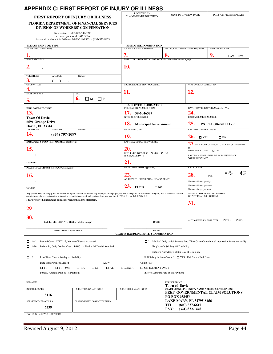### **APPENDIX C: FIRST REPORT OF INJURY OR ILLNESS**

| FIRST REPORT OF INJURY OR ILLNESS                                                                                                                                                                                                                                                                                   | <b>RECEIVED BY</b><br><b>CLAIMS-HANDLING ENTITY</b>                                  | SENT TO DIVISION DATE                                   |                                                                           | DIVISION RECEIVED DATE                                                                       |
|---------------------------------------------------------------------------------------------------------------------------------------------------------------------------------------------------------------------------------------------------------------------------------------------------------------------|--------------------------------------------------------------------------------------|---------------------------------------------------------|---------------------------------------------------------------------------|----------------------------------------------------------------------------------------------|
| <b>FLORIDA DEPARTMENT OF FINANCIAL SERVICES</b><br><b>DIVISION OF WORKERS' COMPENSATION</b>                                                                                                                                                                                                                         |                                                                                      |                                                         |                                                                           |                                                                                              |
| For assistance call 1-800-342-1741                                                                                                                                                                                                                                                                                  |                                                                                      |                                                         |                                                                           |                                                                                              |
| or contact your local EAO Office<br>Report all deaths within 24 hours 1-800-219-8953 or (850) 922-8953                                                                                                                                                                                                              |                                                                                      |                                                         |                                                                           |                                                                                              |
| PLEASE PRINT OR TYPE                                                                                                                                                                                                                                                                                                | <b>EMPLOYEE INFORMATION</b>                                                          |                                                         |                                                                           |                                                                                              |
| NAME (First, Middle, Last)                                                                                                                                                                                                                                                                                          | SOCIAL SECURITY NUMBER                                                               | DATE OF ACCIDENT (Month-Day-Year)                       |                                                                           | TIME OF ACCIDENT                                                                             |
| 1.<br><b>HOME ADDRESS</b>                                                                                                                                                                                                                                                                                           | 7.<br>$\sim$ $ \sim$<br>EMPLOYEE'S DESCRIPTION OF ACCIDENT (include Cause of Injury) | 8.                                                      |                                                                           | 9.<br>$\Box$ AM $\Box$ PM                                                                    |
|                                                                                                                                                                                                                                                                                                                     |                                                                                      |                                                         |                                                                           |                                                                                              |
| 2.                                                                                                                                                                                                                                                                                                                  | 10.                                                                                  |                                                         |                                                                           |                                                                                              |
| <b>TELEPHONE</b><br>Area Code<br>Number                                                                                                                                                                                                                                                                             |                                                                                      |                                                         |                                                                           |                                                                                              |
| З.<br><b>OCCUPATION</b>                                                                                                                                                                                                                                                                                             | INJURY/ILLNESS THAT OCCURRED                                                         |                                                         | PART OF BODY AFFECTED                                                     |                                                                                              |
|                                                                                                                                                                                                                                                                                                                     |                                                                                      |                                                         |                                                                           |                                                                                              |
| <b>DATE OF BIRTH</b><br><b>SEX</b>                                                                                                                                                                                                                                                                                  | 11.                                                                                  |                                                         | 12.                                                                       |                                                                                              |
| 6.<br>$\Box$ M<br>$\Box$ F<br>5.                                                                                                                                                                                                                                                                                    |                                                                                      |                                                         |                                                                           |                                                                                              |
| EMPLOYER/COMPANY                                                                                                                                                                                                                                                                                                    | <b>EMPLOYER INFORMATION</b><br>FEDERAL I.D. NUMBER (FEIN)                            |                                                         |                                                                           | DATE FIRST REPORTED (Month-Day-Year)                                                         |
| 13.                                                                                                                                                                                                                                                                                                                 | 17.<br>59-6046527                                                                    |                                                         | 24.                                                                       |                                                                                              |
| <b>Town Of Davie</b>                                                                                                                                                                                                                                                                                                | <b>NATURE OF BUSINESS</b>                                                            |                                                         | POLICY/MEMBER NUMBER                                                      |                                                                                              |
| 6591 Orange Drive<br>Davie, FL 33314                                                                                                                                                                                                                                                                                | 18.<br><b>Municipal Government</b>                                                   |                                                         | 25.                                                                       | PX FL1 0062701 11-05                                                                         |
| <b>TELEPHONE</b><br>Area Code<br>Number                                                                                                                                                                                                                                                                             | DATE EMPLOYED                                                                        |                                                         | PAID FOR DATE OF INJURY                                                   |                                                                                              |
| 14.<br>$(954)$ 797-1097                                                                                                                                                                                                                                                                                             | 19.                                                                                  |                                                         | $26.$ OYES<br>$\square$ NO                                                |                                                                                              |
| <b>EMPLOYER'S LOCATION ADDRESS (if different)</b>                                                                                                                                                                                                                                                                   | LAST DAY EMPLOYEE WORKED                                                             |                                                         |                                                                           | $27$ . Will you continue to pay wages instead                                                |
| 15.                                                                                                                                                                                                                                                                                                                 | 20.                                                                                  |                                                         | OF                                                                        |                                                                                              |
|                                                                                                                                                                                                                                                                                                                     | RETURNED TO WORK? □ YES □ NO<br>IF YES, GIVE DATE                                    |                                                         | WORKERS' COMP?<br>$\square$ YES<br>LAST DAY WAGES WILL BE PAID INSTEAD OF |                                                                                              |
|                                                                                                                                                                                                                                                                                                                     |                                                                                      |                                                         | <b>WORKERS' COMP?</b>                                                     |                                                                                              |
| Location #:<br>PLACE OF ACCIDENT (Street, City, State, Zip)                                                                                                                                                                                                                                                         | 21.<br>DATE OF DEATH (If applicable)                                                 |                                                         | <b>RATE OF PAY</b>                                                        |                                                                                              |
|                                                                                                                                                                                                                                                                                                                     |                                                                                      |                                                         |                                                                           | $\Box$ HR<br>$\square$ WK                                                                    |
| 16.                                                                                                                                                                                                                                                                                                                 | 22.<br>AGREE WITH DESCRIPTION OF ACCIDENT?                                           |                                                         | 28.                                                                       | $\square$ DAY<br>$\square$ MO<br>PER                                                         |
|                                                                                                                                                                                                                                                                                                                     |                                                                                      |                                                         | Number of hours per day                                                   |                                                                                              |
| COUNTY:                                                                                                                                                                                                                                                                                                             | 23.<br>$\square$ YES<br>$\square$ NO                                                 |                                                         | Number of hours per week<br>Number of days per week                       |                                                                                              |
| Any person who, knowingly and with intent to injure, defraud, or deceive any employer or employee, insurance company, or self-insured program, files a statement of claim<br>containing any false or misleading information commits insurance fraud, punishable as provided in s. 817.234. Section 440.105(7), F.S. |                                                                                      |                                                         | NAME, ADDRESS AND TELEPHONE<br>OF PHYSICIAN OR HOSPITAL                   |                                                                                              |
| I have reviewed, understand and acknowledge the above statement.                                                                                                                                                                                                                                                    |                                                                                      |                                                         |                                                                           |                                                                                              |
| 29                                                                                                                                                                                                                                                                                                                  |                                                                                      |                                                         | 31.                                                                       |                                                                                              |
|                                                                                                                                                                                                                                                                                                                     |                                                                                      |                                                         |                                                                           |                                                                                              |
| 30.                                                                                                                                                                                                                                                                                                                 |                                                                                      |                                                         | AUTHORIZED BY EMPLOYER                                                    | $\square$ YES<br>$\square$ NO                                                                |
| EMPLOYEE SIGNATURE (If available to sign)                                                                                                                                                                                                                                                                           | <b>DATE</b>                                                                          |                                                         |                                                                           |                                                                                              |
| <b>EMPLOYER SIGNATURE</b>                                                                                                                                                                                                                                                                                           | <b>DATE</b>                                                                          |                                                         |                                                                           |                                                                                              |
|                                                                                                                                                                                                                                                                                                                     | <b>CLAIMS-HANDLING ENTITY INFORMATION</b>                                            |                                                         |                                                                           |                                                                                              |
| $\Box$ 1(a)<br>Denied Case - DWC-12, Notice of Denial Attached                                                                                                                                                                                                                                                      |                                                                                      |                                                         |                                                                           | $\Box$ 2. Medical Only which became Lost Time Case (Complete all required information in #3) |
| 1(b)<br>Indemnity Only Denied Case - DWC-12, Notice Of Denial Attached                                                                                                                                                                                                                                              |                                                                                      | Employee's 8th Day Of Disability                        |                                                                           |                                                                                              |
|                                                                                                                                                                                                                                                                                                                     |                                                                                      | Entity's Knowledge of 8th Day of Disability             |                                                                           |                                                                                              |
| $\Box$ 3.<br>Lost Time Case - 1st day of disability                                                                                                                                                                                                                                                                 |                                                                                      | Full Salary in lieu of comp? ■ YES Full Salary End Date |                                                                           |                                                                                              |
| Date First Payment Mailed<br><b>AWW</b>                                                                                                                                                                                                                                                                             | Comp Rate                                                                            |                                                         |                                                                           |                                                                                              |
| $\Box$ T.T.<br>$\Box$ T.T.-80%<br>$\Box$ T.P.<br>$\Box$ P.T.<br>$\Box$ I.B.<br>Penalty Amount Paid in 1st Payment                                                                                                                                                                                                   | $\Box$ DEATH<br>SETTLEMENT ONLY                                                      | Interest Amount Paid in 1st Payment                     |                                                                           |                                                                                              |
|                                                                                                                                                                                                                                                                                                                     |                                                                                      |                                                         |                                                                           |                                                                                              |
| <b>REMARKS:</b>                                                                                                                                                                                                                                                                                                     |                                                                                      | <b>INSURER NAME</b>                                     |                                                                           |                                                                                              |
| <b>INSURER CODE#</b><br><b>EMPLOYEE'S CLASS CODE</b>                                                                                                                                                                                                                                                                | <b>EMPLOYER'S NAICS CODE</b>                                                         | <b>Town of Davie</b>                                    |                                                                           | CLAIMS-HANDLING ENTITY NAME, ADDRESSS & TELEPHONE                                            |
| 8116                                                                                                                                                                                                                                                                                                                |                                                                                      |                                                         |                                                                           | PREF. GOVERNMENTAL CLAIM SOLUTIONS                                                           |
| SERVICE CO/TPA CODE #<br>CLAIMS-HANDLING ENTITY FILE #                                                                                                                                                                                                                                                              |                                                                                      | PO BOX 958456<br>LAKE MARY, FL 32795-8456               |                                                                           |                                                                                              |
| 6239                                                                                                                                                                                                                                                                                                                |                                                                                      | TEL:                                                    | $(800)$ 237-6617                                                          |                                                                                              |
|                                                                                                                                                                                                                                                                                                                     |                                                                                      | <b>FAX:</b>                                             | $(321) 832 - 1448$                                                        |                                                                                              |

Form DFS-F2-DWC-1 (08/2004)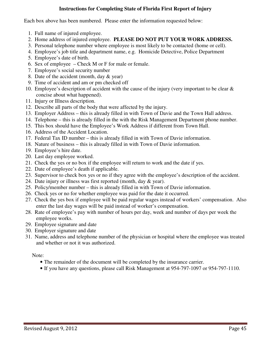#### **Instructions for Completing State of Florida First Report of Injury**

Each box above has been numbered. Please enter the information requested below:

- 1. Full name of injured employee.
- 2. Home address of injured employee. **PLEASE DO NOT PUT YOUR WORK ADDRESS.**
- 3. Personal telephone number where employee is most likely to be contacted (home or cell).
- 4. Employee's job title and department name, e.g. Homicide Detective, Police Department
- 5. Employee's date of birth.
- 6. Sex of employee Check M or F for male or female.
- 7. Employee's social security number
- 8. Date of the accident (month, day & year)
- 9. Time of accident and am or pm checked off
- 10. Employee's description of accident with the cause of the injury (very important to be clear & concise about what happened).
- 11. Injury or Illness description.
- 12. Describe all parts of the body that were affected by the injury.
- 13. Employer Address this is already filled in with Town of Davie and the Town Hall address.
- 14. Telephone this is already filled in the with the Risk Management Department phone number.
- 15. This box should have the Employee's Work Address if different from Town Hall.
- 16. Address of the Accident Location.
- 17. Federal Tax ID number this is already filled in with Town of Davie information.
- 18. Nature of business this is already filled in with Town of Davie information.
- 19. Employee's hire date.
- 20. Last day employee worked.
- 21. Check the yes or no box if the employee will return to work and the date if yes.
- 22. Date of employee's death if applicable.
- 23. Supervisor to check box yes or no if they agree with the employee's description of the accident.
- 24. Date injury or illness was first reported (month, day & year).
- 25. Policy/member number this is already filled in with Town of Davie information.
- 26. Check yes or no for whether employee was paid for the date it occurred.
- 27. Check the yes box if employee will be paid regular wages instead of workers' compensation. Also enter the last day wages will be paid instead of worker's compensation.
- 28. Rate of employee's pay with number of hours per day, week and number of days per week the employee works.
- 29. Employee signature and date
- 30. Employer signature and date
- 31. Name, address and telephone number of the physician or hospital where the employee was treated and whether or not it was authorized.

Note:

- The remainder of the document will be completed by the insurance carrier.
- If you have any questions, please call Risk Management at 954-797-1097 or 954-797-1110.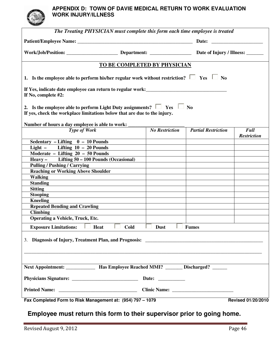#### **APPENDIX D: TOWN OF DAVIE MEDICAL RETURN TO WORK EVALUATION WORK INJURY/ILLNESS**

| The Treating PHYSICIAN must complete this form each time employee is treated                                                                                 |                        |                              |                            |                    |
|--------------------------------------------------------------------------------------------------------------------------------------------------------------|------------------------|------------------------------|----------------------------|--------------------|
|                                                                                                                                                              |                        |                              |                            |                    |
|                                                                                                                                                              |                        |                              |                            |                    |
|                                                                                                                                                              |                        | TO BE COMPLETED BY PHYSICIAN |                            |                    |
| 1. Is the employee able to perform his/her regular work without restriction? $\Box$ Yes $\Box$ No                                                            |                        |                              |                            |                    |
| If Yes, indicate date employee can return to regular work:<br>If No, complete #2:                                                                            |                        |                              |                            |                    |
| 2. Is the employee able to perform Light Duty assignments? $\Box$ Yes $\Box$ No<br>If yes, check the workplace limitations below that are due to the injury. |                        |                              |                            |                    |
| Number of hours a day employee is able to work:                                                                                                              |                        |                              |                            |                    |
| Type of Work                                                                                                                                                 |                        | <b>No Restriction</b>        | <b>Partial Restriction</b> | <b>Full</b>        |
| <b>Sedentary - Lifting <math>0 - 10</math> Pounds</b>                                                                                                        |                        |                              |                            | <b>Restriction</b> |
| Light - Lifting $10 - 20$ Pounds                                                                                                                             |                        |                              |                            |                    |
| Moderate - Lifting $20 - 50$ Pounds                                                                                                                          |                        |                              |                            |                    |
| Heavy - Lifting 50 - 100 Pounds (Occasional)                                                                                                                 |                        |                              |                            |                    |
| <b>Pulling / Pushing / Carrying</b>                                                                                                                          |                        |                              |                            |                    |
| <b>Reaching or Working Above Shoulder</b>                                                                                                                    |                        |                              |                            |                    |
| <b>Walking</b>                                                                                                                                               |                        |                              |                            |                    |
| <b>Standing</b>                                                                                                                                              |                        |                              |                            |                    |
| <b>Sitting</b>                                                                                                                                               |                        |                              |                            |                    |
| <b>Stooping</b>                                                                                                                                              |                        |                              |                            |                    |
| <b>Kneeling</b>                                                                                                                                              |                        |                              |                            |                    |
| <b>Repeated Bending and Crawling</b>                                                                                                                         |                        |                              |                            |                    |
| <b>Climbing</b>                                                                                                                                              |                        |                              |                            |                    |
| <b>Operating a Vehicle, Truck, Etc.</b>                                                                                                                      |                        |                              |                            |                    |
| <b>Exposure Limitations:</b><br><b>Heat</b><br>L                                                                                                             | $\overline{ }$<br>Cold | <b>Dust</b>                  | <b>Fumes</b>               |                    |
| 3. Diagnosis of Injury, Treatment Plan, and Prognosis: __________________________                                                                            |                        |                              |                            |                    |
| Next Appointment: ______________ Has Employee Reached MMI? _______ Discharged? ______                                                                        |                        |                              |                            |                    |
|                                                                                                                                                              |                        |                              |                            |                    |
|                                                                                                                                                              |                        |                              |                            |                    |
| Fax Completed Form to Risk Management at: (954) 797 - 1079                                                                                                   |                        |                              |                            | Revised 01/20/2010 |

## **Employee must return this form to their supervisor prior to going home.**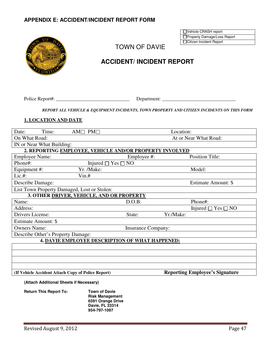#### **APPENDIX E: ACCIDENT/INCIDENT REPORT FORM**

| ΟF                         |  |
|----------------------------|--|
|                            |  |
|                            |  |
| <b>ASD</b><br>WG<br>1.1925 |  |
| LORID                      |  |

TOWN OF DAVIE

## **ACCIDENT/ INCIDENT REPORT**

Police Report#: \_\_\_\_\_\_\_\_\_\_\_\_\_\_\_\_\_\_\_\_\_\_\_\_\_\_\_\_\_\_ Department: \_\_\_\_\_\_\_\_\_\_\_\_\_\_\_\_\_\_\_\_\_\_\_\_\_\_\_\_\_\_

*REPORT ALL VEHICLE & EQUIPMENT INCIDENTS, TOWN PROPERTY AND CITIZEN INCIDENTS ON THIS FORM* 

#### **1. LOCATION AND DATE**

| Date:                 | Time:                     | $AM \Box PM \Box$                                       |                           | Location: |                              |
|-----------------------|---------------------------|---------------------------------------------------------|---------------------------|-----------|------------------------------|
| On What Road:         |                           |                                                         |                           |           | At or Near What Road:        |
|                       | IN or Near What Building: |                                                         |                           |           |                              |
|                       |                           | 2. REPORTING EMPLOYEE, VEHICLE AND/OR PROPERTY INVOLVED |                           |           |                              |
| <b>Employee Name:</b> |                           |                                                         | Employee #:               |           | <b>Position Title:</b>       |
| Phone#:               |                           | Injured $\Box$ Yes $\Box$ NO                            |                           |           |                              |
| Equipment #:          |                           | Yr. /Make:                                              |                           |           | Model:                       |
| $Lie. \#$ :           |                           | $V$ in.#                                                |                           |           |                              |
| Describe Damage:      |                           |                                                         |                           |           | Estimate Amount: \$          |
|                       |                           | List Town Property Damaged, Lost or Stolen:             |                           |           |                              |
|                       |                           | 3. OTHER DRIVER, VEHICLE, AND OR PROPERTY               |                           |           |                              |
| Name:                 |                           |                                                         | $D.O.B$ :                 |           | Phone#:                      |
| Address:              |                           |                                                         |                           |           | Injured $\Box$ Yes $\Box$ NO |
| Drivers License:      |                           |                                                         | State:                    | Yr./Make: |                              |
| Estimate Amount: \$   |                           |                                                         |                           |           |                              |
| <b>Owners Name:</b>   |                           |                                                         | <b>Insurance Company:</b> |           |                              |
|                       |                           | Describe Other's Property Damage:                       |                           |           |                              |
|                       |                           | 4. DAVIE EMPLOYEE DESCRIPTION OF WHAT HAPPENED:         |                           |           |                              |
|                       |                           |                                                         |                           |           |                              |
|                       |                           |                                                         |                           |           |                              |
|                       |                           |                                                         |                           |           |                              |
|                       |                           |                                                         |                           |           |                              |

#### **(If Vehicle Accident Attach Copy of Police Report) Reporting Employee's Signature**

Vehicle CRASH report □Property Damage/Loss Report □Citizen Incident Report

**(Attach Additional Sheets if Necessary)**

| <b>Return This Report To:</b> | <b>Town of Davie</b>   |
|-------------------------------|------------------------|
|                               | <b>Risk Management</b> |
|                               | 6591 Orange Drive      |
|                               | Davie, FL 33314        |
|                               | 954-797-1097           |